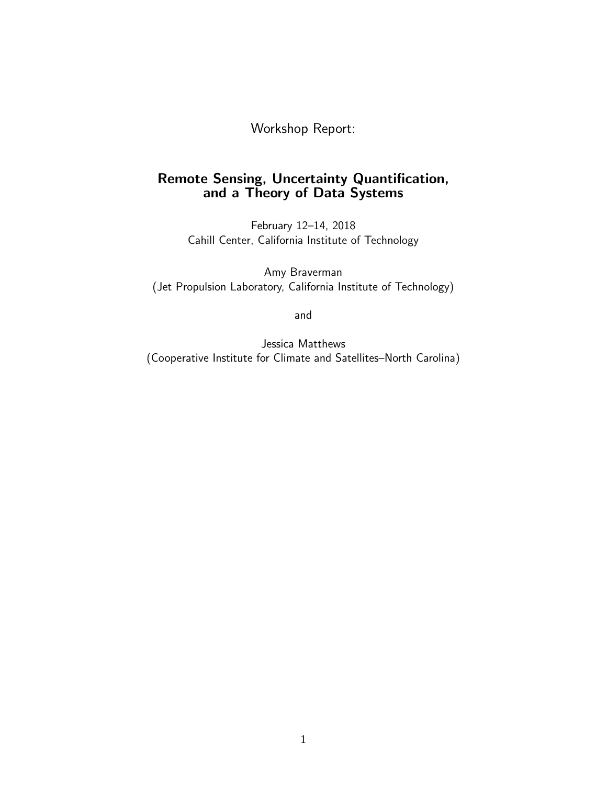Workshop Report:

# Remote Sensing, Uncertainty Quantification, and a Theory of Data Systems

February 12–14, 2018 Cahill Center, California Institute of Technology

Amy Braverman (Jet Propulsion Laboratory, California Institute of Technology)

and

Jessica Matthews (Cooperative Institute for Climate and Satellites–North Carolina)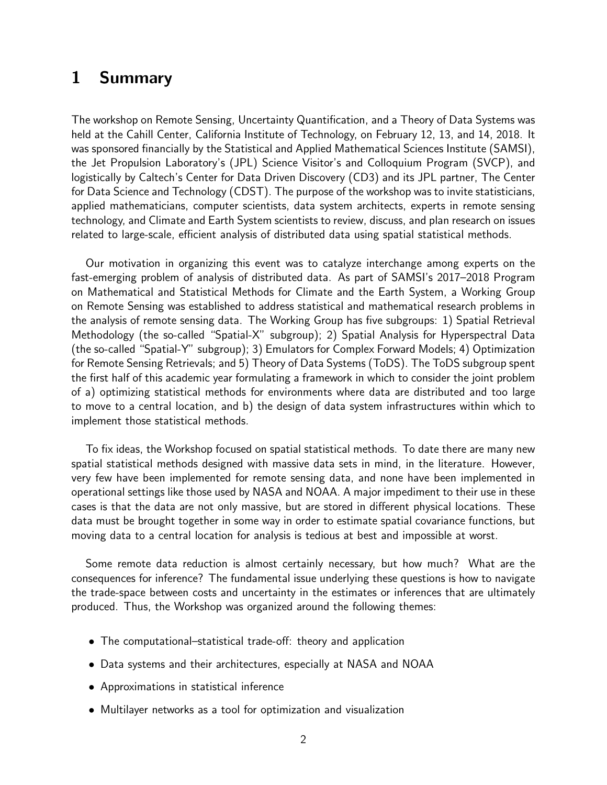# 1 Summary

The workshop on Remote Sensing, Uncertainty Quantification, and a Theory of Data Systems was held at the Cahill Center, California Institute of Technology, on February 12, 13, and 14, 2018. It was sponsored financially by the Statistical and Applied Mathematical Sciences Institute (SAMSI), the Jet Propulsion Laboratory's (JPL) Science Visitor's and Colloquium Program (SVCP), and logistically by Caltech's Center for Data Driven Discovery (CD3) and its JPL partner, The Center for Data Science and Technology (CDST). The purpose of the workshop was to invite statisticians, applied mathematicians, computer scientists, data system architects, experts in remote sensing technology, and Climate and Earth System scientists to review, discuss, and plan research on issues related to large-scale, efficient analysis of distributed data using spatial statistical methods.

Our motivation in organizing this event was to catalyze interchange among experts on the fast-emerging problem of analysis of distributed data. As part of SAMSI's 2017–2018 Program on Mathematical and Statistical Methods for Climate and the Earth System, a Working Group on Remote Sensing was established to address statistical and mathematical research problems in the analysis of remote sensing data. The Working Group has five subgroups: 1) Spatial Retrieval Methodology (the so-called "Spatial-X" subgroup); 2) Spatial Analysis for Hyperspectral Data (the so-called "Spatial-Y" subgroup); 3) Emulators for Complex Forward Models; 4) Optimization for Remote Sensing Retrievals; and 5) Theory of Data Systems (ToDS). The ToDS subgroup spent the first half of this academic year formulating a framework in which to consider the joint problem of a) optimizing statistical methods for environments where data are distributed and too large to move to a central location, and b) the design of data system infrastructures within which to implement those statistical methods.

To fix ideas, the Workshop focused on spatial statistical methods. To date there are many new spatial statistical methods designed with massive data sets in mind, in the literature. However, very few have been implemented for remote sensing data, and none have been implemented in operational settings like those used by NASA and NOAA. A major impediment to their use in these cases is that the data are not only massive, but are stored in different physical locations. These data must be brought together in some way in order to estimate spatial covariance functions, but moving data to a central location for analysis is tedious at best and impossible at worst.

Some remote data reduction is almost certainly necessary, but how much? What are the consequences for inference? The fundamental issue underlying these questions is how to navigate the trade-space between costs and uncertainty in the estimates or inferences that are ultimately produced. Thus, the Workshop was organized around the following themes:

- The computational–statistical trade-off: theory and application
- Data systems and their architectures, especially at NASA and NOAA
- Approximations in statistical inference
- Multilayer networks as a tool for optimization and visualization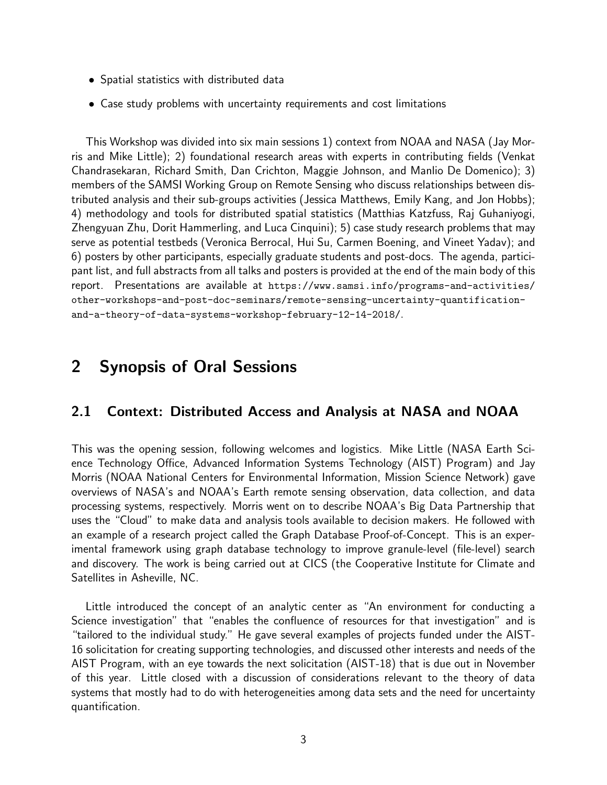- Spatial statistics with distributed data
- Case study problems with uncertainty requirements and cost limitations

This Workshop was divided into six main sessions 1) context from NOAA and NASA (Jay Morris and Mike Little); 2) foundational research areas with experts in contributing fields (Venkat Chandrasekaran, Richard Smith, Dan Crichton, Maggie Johnson, and Manlio De Domenico); 3) members of the SAMSI Working Group on Remote Sensing who discuss relationships between distributed analysis and their sub-groups activities (Jessica Matthews, Emily Kang, and Jon Hobbs); 4) methodology and tools for distributed spatial statistics (Matthias Katzfuss, Raj Guhaniyogi, Zhengyuan Zhu, Dorit Hammerling, and Luca Cinquini); 5) case study research problems that may serve as potential testbeds (Veronica Berrocal, Hui Su, Carmen Boening, and Vineet Yadav); and 6) posters by other participants, especially graduate students and post-docs. The agenda, participant list, and full abstracts from all talks and posters is provided at the end of the main body of this report. Presentations are available at https://www.samsi.info/programs-and-activities/ other-workshops-and-post-doc-seminars/remote-sensing-uncertainty-quantificationand-a-theory-of-data-systems-workshop-february-12-14-2018/.

# 2 Synopsis of Oral Sessions

# 2.1 Context: Distributed Access and Analysis at NASA and NOAA

This was the opening session, following welcomes and logistics. Mike Little (NASA Earth Science Technology Office, Advanced Information Systems Technology (AIST) Program) and Jay Morris (NOAA National Centers for Environmental Information, Mission Science Network) gave overviews of NASA's and NOAA's Earth remote sensing observation, data collection, and data processing systems, respectively. Morris went on to describe NOAA's Big Data Partnership that uses the "Cloud" to make data and analysis tools available to decision makers. He followed with an example of a research project called the Graph Database Proof-of-Concept. This is an experimental framework using graph database technology to improve granule-level (file-level) search and discovery. The work is being carried out at CICS (the Cooperative Institute for Climate and Satellites in Asheville, NC.

Little introduced the concept of an analytic center as "An environment for conducting a Science investigation" that "enables the confluence of resources for that investigation" and is "tailored to the individual study." He gave several examples of projects funded under the AIST-16 solicitation for creating supporting technologies, and discussed other interests and needs of the AIST Program, with an eye towards the next solicitation (AIST-18) that is due out in November of this year. Little closed with a discussion of considerations relevant to the theory of data systems that mostly had to do with heterogeneities among data sets and the need for uncertainty quantification.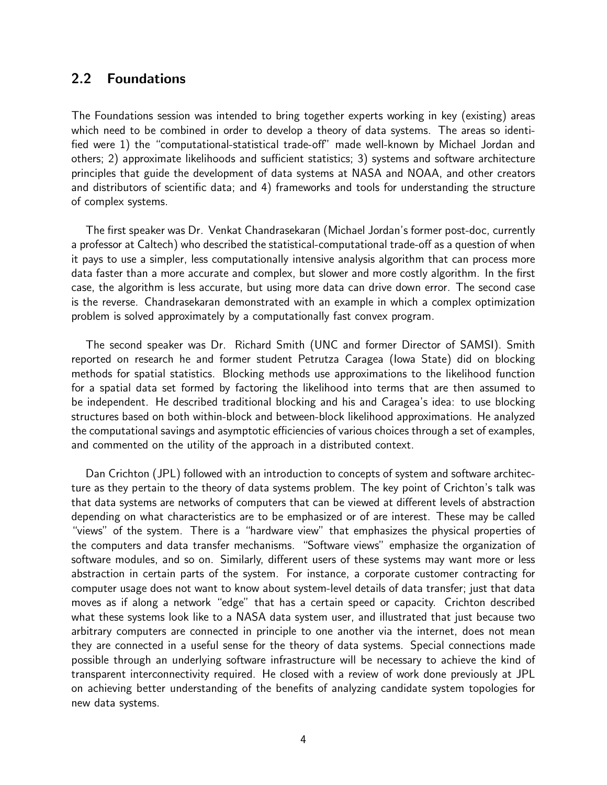# 2.2 Foundations

The Foundations session was intended to bring together experts working in key (existing) areas which need to be combined in order to develop a theory of data systems. The areas so identified were 1) the "computational-statistical trade-off" made well-known by Michael Jordan and others; 2) approximate likelihoods and sufficient statistics; 3) systems and software architecture principles that guide the development of data systems at NASA and NOAA, and other creators and distributors of scientific data; and 4) frameworks and tools for understanding the structure of complex systems.

The first speaker was Dr. Venkat Chandrasekaran (Michael Jordan's former post-doc, currently a professor at Caltech) who described the statistical-computational trade-off as a question of when it pays to use a simpler, less computationally intensive analysis algorithm that can process more data faster than a more accurate and complex, but slower and more costly algorithm. In the first case, the algorithm is less accurate, but using more data can drive down error. The second case is the reverse. Chandrasekaran demonstrated with an example in which a complex optimization problem is solved approximately by a computationally fast convex program.

The second speaker was Dr. Richard Smith (UNC and former Director of SAMSI). Smith reported on research he and former student Petrutza Caragea (Iowa State) did on blocking methods for spatial statistics. Blocking methods use approximations to the likelihood function for a spatial data set formed by factoring the likelihood into terms that are then assumed to be independent. He described traditional blocking and his and Caragea's idea: to use blocking structures based on both within-block and between-block likelihood approximations. He analyzed the computational savings and asymptotic efficiencies of various choices through a set of examples, and commented on the utility of the approach in a distributed context.

Dan Crichton (JPL) followed with an introduction to concepts of system and software architecture as they pertain to the theory of data systems problem. The key point of Crichton's talk was that data systems are networks of computers that can be viewed at different levels of abstraction depending on what characteristics are to be emphasized or of are interest. These may be called "views" of the system. There is a "hardware view" that emphasizes the physical properties of the computers and data transfer mechanisms. "Software views" emphasize the organization of software modules, and so on. Similarly, different users of these systems may want more or less abstraction in certain parts of the system. For instance, a corporate customer contracting for computer usage does not want to know about system-level details of data transfer; just that data moves as if along a network "edge" that has a certain speed or capacity. Crichton described what these systems look like to a NASA data system user, and illustrated that just because two arbitrary computers are connected in principle to one another via the internet, does not mean they are connected in a useful sense for the theory of data systems. Special connections made possible through an underlying software infrastructure will be necessary to achieve the kind of transparent interconnectivity required. He closed with a review of work done previously at JPL on achieving better understanding of the benefits of analyzing candidate system topologies for new data systems.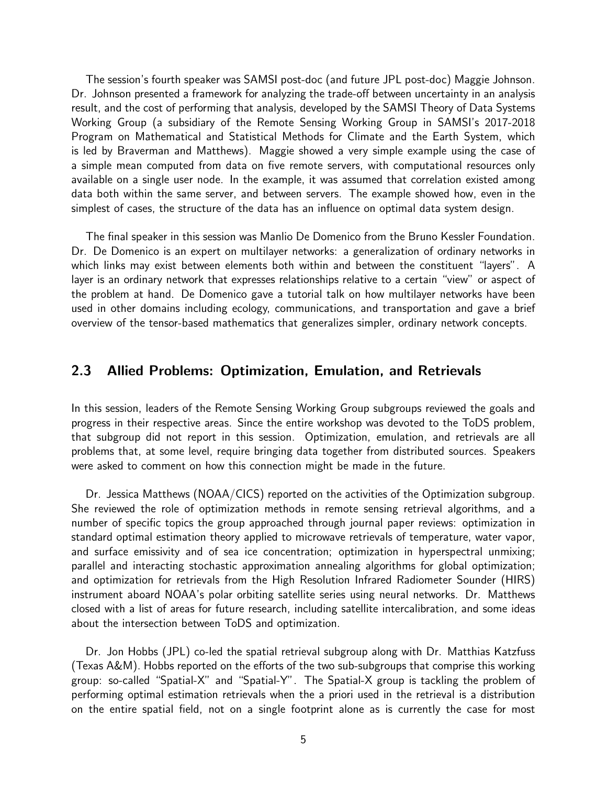The session's fourth speaker was SAMSI post-doc (and future JPL post-doc) Maggie Johnson. Dr. Johnson presented a framework for analyzing the trade-off between uncertainty in an analysis result, and the cost of performing that analysis, developed by the SAMSI Theory of Data Systems Working Group (a subsidiary of the Remote Sensing Working Group in SAMSI's 2017-2018 Program on Mathematical and Statistical Methods for Climate and the Earth System, which is led by Braverman and Matthews). Maggie showed a very simple example using the case of a simple mean computed from data on five remote servers, with computational resources only available on a single user node. In the example, it was assumed that correlation existed among data both within the same server, and between servers. The example showed how, even in the simplest of cases, the structure of the data has an influence on optimal data system design.

The final speaker in this session was Manlio De Domenico from the Bruno Kessler Foundation. Dr. De Domenico is an expert on multilayer networks: a generalization of ordinary networks in which links may exist between elements both within and between the constituent "layers". A layer is an ordinary network that expresses relationships relative to a certain "view" or aspect of the problem at hand. De Domenico gave a tutorial talk on how multilayer networks have been used in other domains including ecology, communications, and transportation and gave a brief overview of the tensor-based mathematics that generalizes simpler, ordinary network concepts.

# 2.3 Allied Problems: Optimization, Emulation, and Retrievals

In this session, leaders of the Remote Sensing Working Group subgroups reviewed the goals and progress in their respective areas. Since the entire workshop was devoted to the ToDS problem, that subgroup did not report in this session. Optimization, emulation, and retrievals are all problems that, at some level, require bringing data together from distributed sources. Speakers were asked to comment on how this connection might be made in the future.

Dr. Jessica Matthews (NOAA/CICS) reported on the activities of the Optimization subgroup. She reviewed the role of optimization methods in remote sensing retrieval algorithms, and a number of specific topics the group approached through journal paper reviews: optimization in standard optimal estimation theory applied to microwave retrievals of temperature, water vapor, and surface emissivity and of sea ice concentration; optimization in hyperspectral unmixing; parallel and interacting stochastic approximation annealing algorithms for global optimization; and optimization for retrievals from the High Resolution Infrared Radiometer Sounder (HIRS) instrument aboard NOAA's polar orbiting satellite series using neural networks. Dr. Matthews closed with a list of areas for future research, including satellite intercalibration, and some ideas about the intersection between ToDS and optimization.

Dr. Jon Hobbs (JPL) co-led the spatial retrieval subgroup along with Dr. Matthias Katzfuss (Texas A&M). Hobbs reported on the efforts of the two sub-subgroups that comprise this working group: so-called "Spatial-X" and "Spatial-Y". The Spatial-X group is tackling the problem of performing optimal estimation retrievals when the a priori used in the retrieval is a distribution on the entire spatial field, not on a single footprint alone as is currently the case for most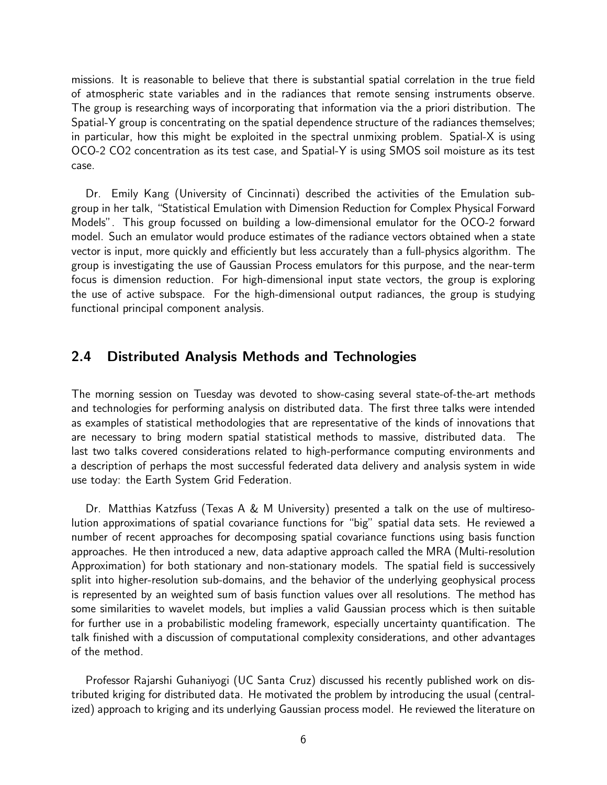missions. It is reasonable to believe that there is substantial spatial correlation in the true field of atmospheric state variables and in the radiances that remote sensing instruments observe. The group is researching ways of incorporating that information via the a priori distribution. The Spatial-Y group is concentrating on the spatial dependence structure of the radiances themselves; in particular, how this might be exploited in the spectral unmixing problem. Spatial-X is using OCO-2 CO2 concentration as its test case, and Spatial-Y is using SMOS soil moisture as its test case.

Dr. Emily Kang (University of Cincinnati) described the activities of the Emulation subgroup in her talk, "Statistical Emulation with Dimension Reduction for Complex Physical Forward Models". This group focussed on building a low-dimensional emulator for the OCO-2 forward model. Such an emulator would produce estimates of the radiance vectors obtained when a state vector is input, more quickly and efficiently but less accurately than a full-physics algorithm. The group is investigating the use of Gaussian Process emulators for this purpose, and the near-term focus is dimension reduction. For high-dimensional input state vectors, the group is exploring the use of active subspace. For the high-dimensional output radiances, the group is studying functional principal component analysis.

# 2.4 Distributed Analysis Methods and Technologies

The morning session on Tuesday was devoted to show-casing several state-of-the-art methods and technologies for performing analysis on distributed data. The first three talks were intended as examples of statistical methodologies that are representative of the kinds of innovations that are necessary to bring modern spatial statistical methods to massive, distributed data. The last two talks covered considerations related to high-performance computing environments and a description of perhaps the most successful federated data delivery and analysis system in wide use today: the Earth System Grid Federation.

Dr. Matthias Katzfuss (Texas A & M University) presented a talk on the use of multiresolution approximations of spatial covariance functions for "big" spatial data sets. He reviewed a number of recent approaches for decomposing spatial covariance functions using basis function approaches. He then introduced a new, data adaptive approach called the MRA (Multi-resolution Approximation) for both stationary and non-stationary models. The spatial field is successively split into higher-resolution sub-domains, and the behavior of the underlying geophysical process is represented by an weighted sum of basis function values over all resolutions. The method has some similarities to wavelet models, but implies a valid Gaussian process which is then suitable for further use in a probabilistic modeling framework, especially uncertainty quantification. The talk finished with a discussion of computational complexity considerations, and other advantages of the method.

Professor Rajarshi Guhaniyogi (UC Santa Cruz) discussed his recently published work on distributed kriging for distributed data. He motivated the problem by introducing the usual (centralized) approach to kriging and its underlying Gaussian process model. He reviewed the literature on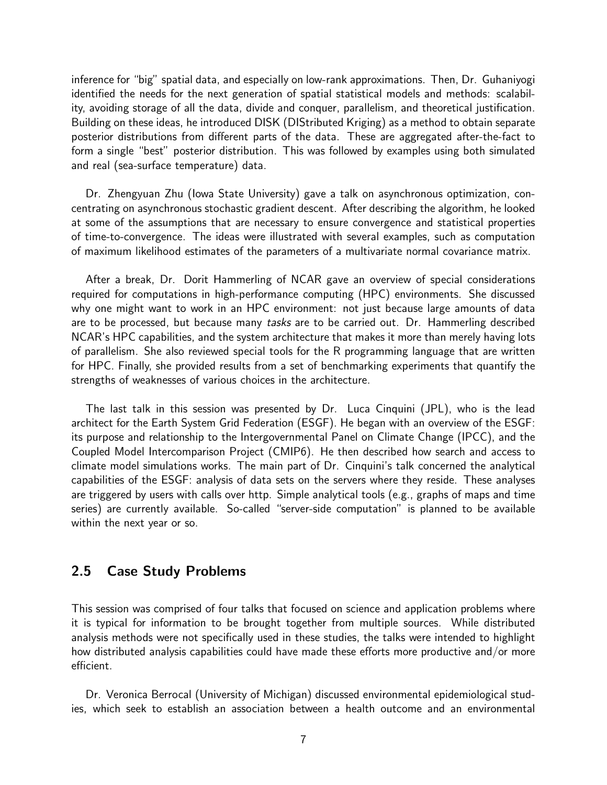inference for "big" spatial data, and especially on low-rank approximations. Then, Dr. Guhaniyogi identified the needs for the next generation of spatial statistical models and methods: scalability, avoiding storage of all the data, divide and conquer, parallelism, and theoretical justification. Building on these ideas, he introduced DISK (DIStributed Kriging) as a method to obtain separate posterior distributions from different parts of the data. These are aggregated after-the-fact to form a single "best" posterior distribution. This was followed by examples using both simulated and real (sea-surface temperature) data.

Dr. Zhengyuan Zhu (Iowa State University) gave a talk on asynchronous optimization, concentrating on asynchronous stochastic gradient descent. After describing the algorithm, he looked at some of the assumptions that are necessary to ensure convergence and statistical properties of time-to-convergence. The ideas were illustrated with several examples, such as computation of maximum likelihood estimates of the parameters of a multivariate normal covariance matrix.

After a break, Dr. Dorit Hammerling of NCAR gave an overview of special considerations required for computations in high-performance computing (HPC) environments. She discussed why one might want to work in an HPC environment: not just because large amounts of data are to be processed, but because many tasks are to be carried out. Dr. Hammerling described NCAR's HPC capabilities, and the system architecture that makes it more than merely having lots of parallelism. She also reviewed special tools for the R programming language that are written for HPC. Finally, she provided results from a set of benchmarking experiments that quantify the strengths of weaknesses of various choices in the architecture.

The last talk in this session was presented by Dr. Luca Cinquini (JPL), who is the lead architect for the Earth System Grid Federation (ESGF). He began with an overview of the ESGF: its purpose and relationship to the Intergovernmental Panel on Climate Change (IPCC), and the Coupled Model Intercomparison Project (CMIP6). He then described how search and access to climate model simulations works. The main part of Dr. Cinquini's talk concerned the analytical capabilities of the ESGF: analysis of data sets on the servers where they reside. These analyses are triggered by users with calls over http. Simple analytical tools (e.g., graphs of maps and time series) are currently available. So-called "server-side computation" is planned to be available within the next year or so.

# 2.5 Case Study Problems

This session was comprised of four talks that focused on science and application problems where it is typical for information to be brought together from multiple sources. While distributed analysis methods were not specifically used in these studies, the talks were intended to highlight how distributed analysis capabilities could have made these efforts more productive and/or more efficient.

Dr. Veronica Berrocal (University of Michigan) discussed environmental epidemiological studies, which seek to establish an association between a health outcome and an environmental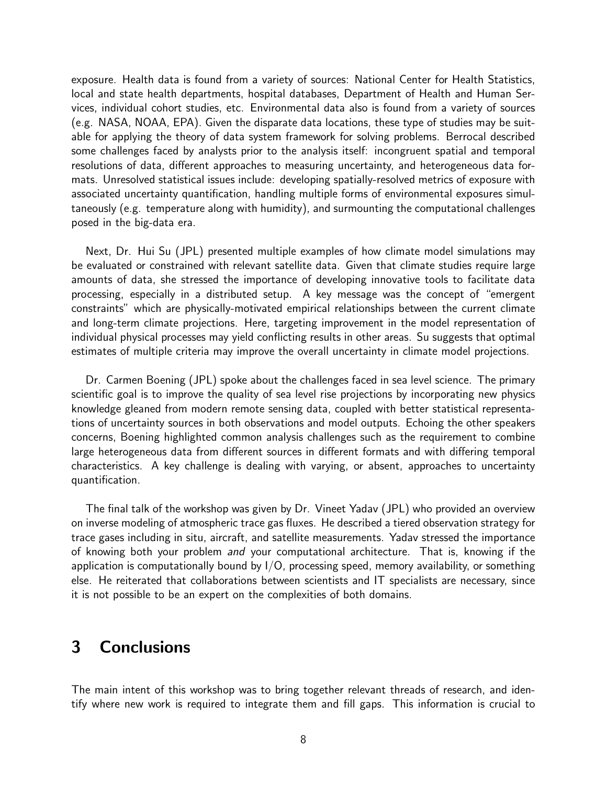exposure. Health data is found from a variety of sources: National Center for Health Statistics, local and state health departments, hospital databases, Department of Health and Human Services, individual cohort studies, etc. Environmental data also is found from a variety of sources (e.g. NASA, NOAA, EPA). Given the disparate data locations, these type of studies may be suitable for applying the theory of data system framework for solving problems. Berrocal described some challenges faced by analysts prior to the analysis itself: incongruent spatial and temporal resolutions of data, different approaches to measuring uncertainty, and heterogeneous data formats. Unresolved statistical issues include: developing spatially-resolved metrics of exposure with associated uncertainty quantification, handling multiple forms of environmental exposures simultaneously (e.g. temperature along with humidity), and surmounting the computational challenges posed in the big-data era.

Next, Dr. Hui Su (JPL) presented multiple examples of how climate model simulations may be evaluated or constrained with relevant satellite data. Given that climate studies require large amounts of data, she stressed the importance of developing innovative tools to facilitate data processing, especially in a distributed setup. A key message was the concept of "emergent constraints" which are physically-motivated empirical relationships between the current climate and long-term climate projections. Here, targeting improvement in the model representation of individual physical processes may yield conflicting results in other areas. Su suggests that optimal estimates of multiple criteria may improve the overall uncertainty in climate model projections.

Dr. Carmen Boening (JPL) spoke about the challenges faced in sea level science. The primary scientific goal is to improve the quality of sea level rise projections by incorporating new physics knowledge gleaned from modern remote sensing data, coupled with better statistical representations of uncertainty sources in both observations and model outputs. Echoing the other speakers concerns, Boening highlighted common analysis challenges such as the requirement to combine large heterogeneous data from different sources in different formats and with differing temporal characteristics. A key challenge is dealing with varying, or absent, approaches to uncertainty quantification.

The final talk of the workshop was given by Dr. Vineet Yadav (JPL) who provided an overview on inverse modeling of atmospheric trace gas fluxes. He described a tiered observation strategy for trace gases including in situ, aircraft, and satellite measurements. Yadav stressed the importance of knowing both your problem *and* your computational architecture. That is, knowing if the application is computationally bound by  $I/O$ , processing speed, memory availability, or something else. He reiterated that collaborations between scientists and IT specialists are necessary, since it is not possible to be an expert on the complexities of both domains.

# 3 Conclusions

The main intent of this workshop was to bring together relevant threads of research, and identify where new work is required to integrate them and fill gaps. This information is crucial to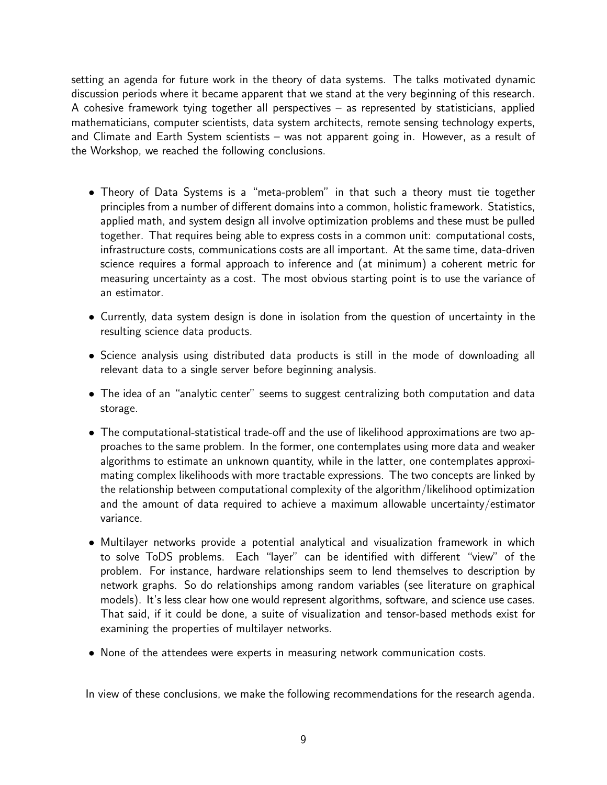setting an agenda for future work in the theory of data systems. The talks motivated dynamic discussion periods where it became apparent that we stand at the very beginning of this research. A cohesive framework tying together all perspectives – as represented by statisticians, applied mathematicians, computer scientists, data system architects, remote sensing technology experts, and Climate and Earth System scientists – was not apparent going in. However, as a result of the Workshop, we reached the following conclusions.

- Theory of Data Systems is a "meta-problem" in that such a theory must tie together principles from a number of different domains into a common, holistic framework. Statistics, applied math, and system design all involve optimization problems and these must be pulled together. That requires being able to express costs in a common unit: computational costs, infrastructure costs, communications costs are all important. At the same time, data-driven science requires a formal approach to inference and (at minimum) a coherent metric for measuring uncertainty as a cost. The most obvious starting point is to use the variance of an estimator.
- Currently, data system design is done in isolation from the question of uncertainty in the resulting science data products.
- Science analysis using distributed data products is still in the mode of downloading all relevant data to a single server before beginning analysis.
- The idea of an "analytic center" seems to suggest centralizing both computation and data storage.
- The computational-statistical trade-off and the use of likelihood approximations are two approaches to the same problem. In the former, one contemplates using more data and weaker algorithms to estimate an unknown quantity, while in the latter, one contemplates approximating complex likelihoods with more tractable expressions. The two concepts are linked by the relationship between computational complexity of the algorithm/likelihood optimization and the amount of data required to achieve a maximum allowable uncertainty/estimator variance.
- Multilayer networks provide a potential analytical and visualization framework in which to solve ToDS problems. Each "layer" can be identified with different "view" of the problem. For instance, hardware relationships seem to lend themselves to description by network graphs. So do relationships among random variables (see literature on graphical models). It's less clear how one would represent algorithms, software, and science use cases. That said, if it could be done, a suite of visualization and tensor-based methods exist for examining the properties of multilayer networks.
- None of the attendees were experts in measuring network communication costs.

In view of these conclusions, we make the following recommendations for the research agenda.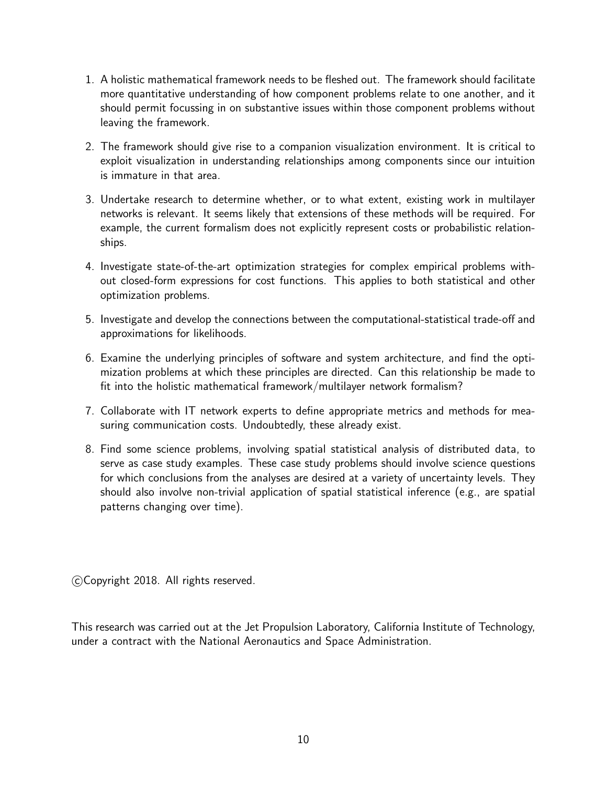- 1. A holistic mathematical framework needs to be fleshed out. The framework should facilitate more quantitative understanding of how component problems relate to one another, and it should permit focussing in on substantive issues within those component problems without leaving the framework.
- 2. The framework should give rise to a companion visualization environment. It is critical to exploit visualization in understanding relationships among components since our intuition is immature in that area.
- 3. Undertake research to determine whether, or to what extent, existing work in multilayer networks is relevant. It seems likely that extensions of these methods will be required. For example, the current formalism does not explicitly represent costs or probabilistic relationships.
- 4. Investigate state-of-the-art optimization strategies for complex empirical problems without closed-form expressions for cost functions. This applies to both statistical and other optimization problems.
- 5. Investigate and develop the connections between the computational-statistical trade-off and approximations for likelihoods.
- 6. Examine the underlying principles of software and system architecture, and find the optimization problems at which these principles are directed. Can this relationship be made to fit into the holistic mathematical framework/multilayer network formalism?
- 7. Collaborate with IT network experts to define appropriate metrics and methods for measuring communication costs. Undoubtedly, these already exist.
- 8. Find some science problems, involving spatial statistical analysis of distributed data, to serve as case study examples. These case study problems should involve science questions for which conclusions from the analyses are desired at a variety of uncertainty levels. They should also involve non-trivial application of spatial statistical inference (e.g., are spatial patterns changing over time).

c Copyright 2018. All rights reserved.

This research was carried out at the Jet Propulsion Laboratory, California Institute of Technology, under a contract with the National Aeronautics and Space Administration.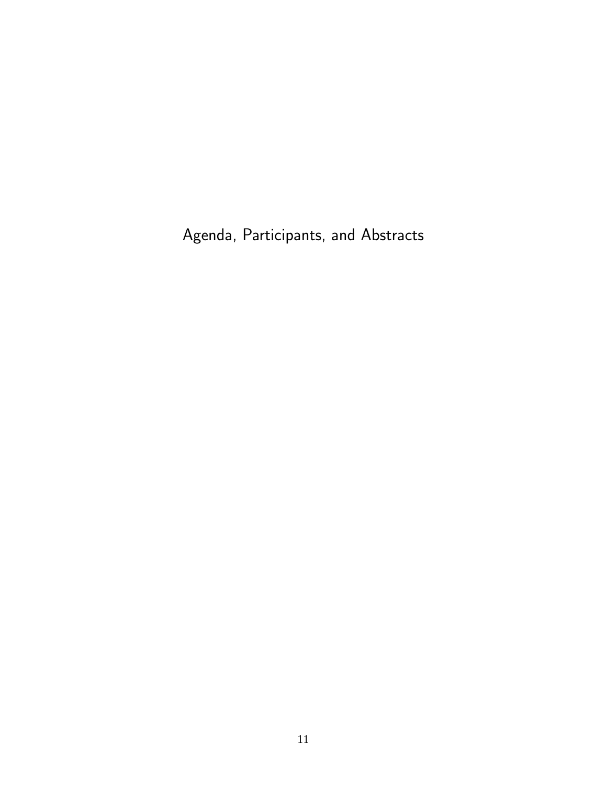Agenda, Participants, and Abstracts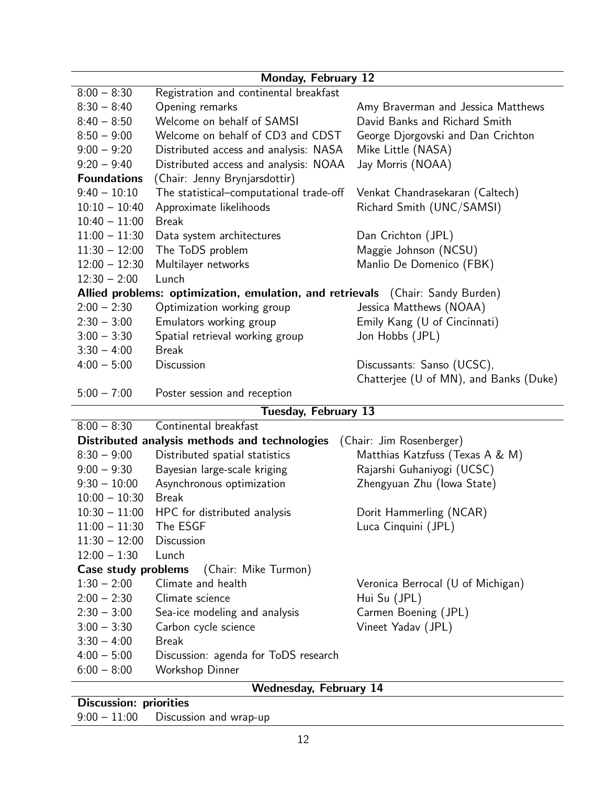| Monday, February 12                                     |                                                                                |                                        |  |  |  |  |  |
|---------------------------------------------------------|--------------------------------------------------------------------------------|----------------------------------------|--|--|--|--|--|
| $8:00 - 8:30$<br>Registration and continental breakfast |                                                                                |                                        |  |  |  |  |  |
| $8:30 - 8:40$                                           | Opening remarks                                                                | Amy Braverman and Jessica Matthews     |  |  |  |  |  |
| $8:40 - 8:50$                                           | Welcome on behalf of SAMSI                                                     | David Banks and Richard Smith          |  |  |  |  |  |
| $8:50 - 9:00$                                           | Welcome on behalf of CD3 and CDST                                              | George Djorgovski and Dan Crichton     |  |  |  |  |  |
| $9:00 - 9:20$                                           | Distributed access and analysis: NASA                                          | Mike Little (NASA)                     |  |  |  |  |  |
| $9:20 - 9:40$                                           | Distributed access and analysis: NOAA                                          | Jay Morris (NOAA)                      |  |  |  |  |  |
| <b>Foundations</b>                                      | (Chair: Jenny Brynjarsdottir)                                                  |                                        |  |  |  |  |  |
| $9:40 - 10:10$                                          | The statistical-computational trade-off                                        | Venkat Chandrasekaran (Caltech)        |  |  |  |  |  |
| $10:10 - 10:40$                                         | Approximate likelihoods                                                        | Richard Smith (UNC/SAMSI)              |  |  |  |  |  |
| $10:40 - 11:00$                                         | <b>Break</b>                                                                   |                                        |  |  |  |  |  |
| $11:00 - 11:30$                                         | Data system architectures                                                      | Dan Crichton (JPL)                     |  |  |  |  |  |
| $11:30 - 12:00$                                         | The ToDS problem                                                               | Maggie Johnson (NCSU)                  |  |  |  |  |  |
| $12:00 - 12:30$                                         | Multilayer networks                                                            | Manlio De Domenico (FBK)               |  |  |  |  |  |
| $12:30 - 2:00$                                          | Lunch                                                                          |                                        |  |  |  |  |  |
|                                                         | Allied problems: optimization, emulation, and retrievals (Chair: Sandy Burden) |                                        |  |  |  |  |  |
| $2:00 - 2:30$                                           | Optimization working group                                                     | Jessica Matthews (NOAA)                |  |  |  |  |  |
| $2:30 - 3:00$                                           | Emulators working group                                                        | Emily Kang (U of Cincinnati)           |  |  |  |  |  |
| $3:00 - 3:30$                                           | Spatial retrieval working group                                                | Jon Hobbs (JPL)                        |  |  |  |  |  |
| $3:30 - 4:00$                                           | <b>Break</b>                                                                   |                                        |  |  |  |  |  |
| $4:00 - 5:00$                                           | <b>Discussion</b>                                                              | Discussants: Sanso (UCSC),             |  |  |  |  |  |
|                                                         |                                                                                | Chatterjee (U of MN), and Banks (Duke) |  |  |  |  |  |
| $5:00 - 7:00$                                           | Poster session and reception                                                   |                                        |  |  |  |  |  |
|                                                         | <b>Tuesday, February 13</b>                                                    |                                        |  |  |  |  |  |
| $8:00 - 8:30$                                           | Continental breakfast                                                          |                                        |  |  |  |  |  |
|                                                         | Distributed analysis methods and technologies                                  | (Chair: Jim Rosenberger)               |  |  |  |  |  |
| $8:30 - 9:00$                                           | Distributed spatial statistics                                                 | Matthias Katzfuss (Texas A & M)        |  |  |  |  |  |
| $9:00 - 9:30$                                           | Bayesian large-scale kriging                                                   | Rajarshi Guhaniyogi (UCSC)             |  |  |  |  |  |
| $9:30 - 10:00$                                          | Asynchronous optimization                                                      | Zhengyuan Zhu (Iowa State)             |  |  |  |  |  |
| $10:00 - 10:30$                                         | <b>Break</b>                                                                   |                                        |  |  |  |  |  |
| $10:30 - 11:00$                                         | HPC for distributed analysis                                                   | Dorit Hammerling (NCAR)                |  |  |  |  |  |
| $11:00 - 11:30$                                         | The ESGF                                                                       | Luca Cinquini (JPL)                    |  |  |  |  |  |
| $11:30 - 12:00$                                         | Discussion                                                                     |                                        |  |  |  |  |  |
| $12:00 - 1:30$                                          | Lunch                                                                          |                                        |  |  |  |  |  |
| Case study problems                                     | (Chair: Mike Turmon)                                                           |                                        |  |  |  |  |  |
| $1:30 - 2:00$                                           | Climate and health                                                             | Veronica Berrocal (U of Michigan)      |  |  |  |  |  |
| $2:00 - 2:30$                                           | Climate science                                                                | Hui Su (JPL)                           |  |  |  |  |  |
| $2:30 - 3:00$                                           | Sea-ice modeling and analysis                                                  | Carmen Boening (JPL)                   |  |  |  |  |  |
| $3:00 - 3:30$                                           | Carbon cycle science                                                           | Vineet Yadav (JPL)                     |  |  |  |  |  |
| $3:30 - 4:00$                                           | <b>Break</b>                                                                   |                                        |  |  |  |  |  |
| $4:00 - 5:00$                                           | Discussion: agenda for ToDS research                                           |                                        |  |  |  |  |  |
| $6:00 - 8:00$<br>Workshop Dinner                        |                                                                                |                                        |  |  |  |  |  |
| <b>Wednesday, February 14</b>                           |                                                                                |                                        |  |  |  |  |  |
| Discussion, prioritica                                  |                                                                                |                                        |  |  |  |  |  |

# Discussion: priorities

9:00 – 11:00 Discussion and wrap-up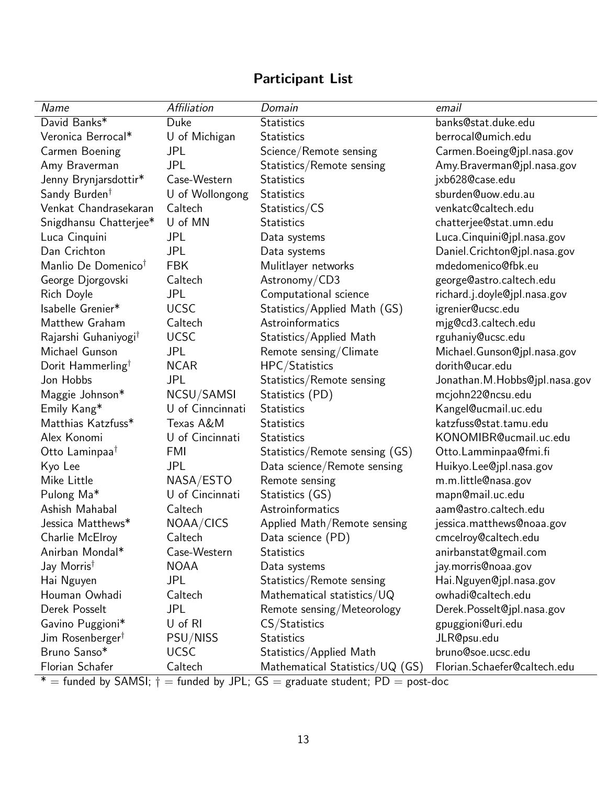| Name                             | Affiliation      | Domain                            | email                         |
|----------------------------------|------------------|-----------------------------------|-------------------------------|
| David Banks*                     | Duke             | <b>Statistics</b>                 | banks@stat.duke.edu           |
| Veronica Berrocal*               | U of Michigan    | <b>Statistics</b>                 | berrocal@umich.edu            |
| Carmen Boening                   | <b>JPL</b>       | Science/Remote sensing            | Carmen. Boeing@jpl.nasa.gov   |
| Amy Braverman                    | <b>JPL</b>       | Statistics/Remote sensing         | Amy. Braverman@jpl.nasa.gov   |
| Jenny Brynjarsdottir*            | Case-Western     | <b>Statistics</b>                 | jxb628@case.edu               |
| Sandy Burden <sup>†</sup>        | U of Wollongong  | <b>Statistics</b>                 | sburden@uow.edu.au            |
| Venkat Chandrasekaran            | Caltech          | Statistics/CS                     | venkatc@caltech.edu           |
| Snigdhansu Chatterjee*           | U of MN          | <b>Statistics</b>                 | chatterjee@stat.umn.edu       |
| Luca Cinquini                    | <b>JPL</b>       | Data systems                      | Luca. Cinquini@jpl.nasa.gov   |
| Dan Crichton                     | <b>JPL</b>       | Data systems                      | Daniel.Crichton@jpl.nasa.gov  |
| Manlio De Domenico <sup>†</sup>  | <b>FBK</b>       | Mulitlayer networks               | mdedomenico@fbk.eu            |
| George Djorgovski                | Caltech          | Astronomy/CD3                     | george@astro.caltech.edu      |
| Rich Doyle                       | JPL              | Computational science             | richard.j.doyle@jpl.nasa.gov  |
| Isabelle Grenier*                | <b>UCSC</b>      | Statistics/Applied Math (GS)      | igrenier@ucsc.edu             |
| Matthew Graham                   | Caltech          | Astroinformatics                  | mjg@cd3.caltech.edu           |
| Rajarshi Guhaniyogi <sup>†</sup> | <b>UCSC</b>      | Statistics/Applied Math           | rguhaniy@ucsc.edu             |
| Michael Gunson                   | <b>JPL</b>       | Remote sensing/Climate            | Michael. Gunson @jpl.nasa.gov |
| Dorit Hammerling <sup>†</sup>    | <b>NCAR</b>      | HPC/Statistics                    | dorith@ucar.edu               |
| Jon Hobbs                        | <b>JPL</b>       | Statistics/Remote sensing         | Jonathan.M.Hobbs@jpl.nasa.gov |
| Maggie Johnson*                  | NCSU/SAMSI       | Statistics (PD)                   | mcjohn22@ncsu.edu             |
| Emily Kang*                      | U of Cinncinnati | <b>Statistics</b>                 | Kangel@ucmail.uc.edu          |
| Matthias Katzfuss*               | Texas A&M        | <b>Statistics</b>                 | katzfuss@stat.tamu.edu        |
| Alex Konomi                      | U of Cincinnati  | <b>Statistics</b>                 | KONOMIBR@ucmail.uc.edu        |
| Otto Laminpaa <sup>†</sup>       | FMI              | Statistics/Remote sensing (GS)    | Otto.Lamminpaa@fmi.fi         |
| Kyo Lee                          | JPL              | Data science/Remote sensing       | Huikyo.Lee@jpl.nasa.gov       |
| Mike Little                      | NASA/ESTO        | Remote sensing                    | m.m.little@nasa.gov           |
| Pulong Ma*                       | U of Cincinnati  | Statistics (GS)                   | mapn@mail.uc.edu              |
| Ashish Mahabal                   | Caltech          | Astroinformatics                  | aam@astro.caltech.edu         |
| Jessica Matthews*                | NOAA/CICS        | Applied Math/Remote sensing       | jessica.matthews@noaa.gov     |
| Charlie McElroy                  | Caltech          | Data science (PD)                 | cmcelroy@caltech.edu          |
| Anirban Mondal*                  | Case-Western     | <b>Statistics</b>                 | anirbanstat@gmail.com         |
| Jay Morris <sup>†</sup>          | <b>NOAA</b>      | Data systems                      | jay.morris@noaa.gov           |
| Hai Nguyen                       | <b>JPL</b>       | Statistics/Remote sensing         | Hai.Nguyen@jpl.nasa.gov       |
| Houman Owhadi                    | Caltech          | Mathematical statistics/ $UQ$     | owhadi@caltech.edu            |
| Derek Posselt                    | <b>JPL</b>       | Remote sensing/Meteorology        | Derek.Posselt@jpl.nasa.gov    |
| Gavino Puggioni*                 | U of RI          | CS/Statistics                     | gpuggioni@uri.edu             |
| Jim Rosenberger <sup>†</sup>     | PSU/NISS         | <b>Statistics</b>                 | JLR@psu.edu                   |
| Bruno Sanso*                     | <b>UCSC</b>      | Statistics/Applied Math           | bruno@soe.ucsc.edu            |
| Florian Schafer                  | Caltech          | Mathematical Statistics/UQ $(GS)$ | Florian.Schaefer@caltech.edu  |

# Participant List

 $* =$  funded by SAMSI;  $\dagger =$  funded by JPL; GS = graduate student; PD = post-doc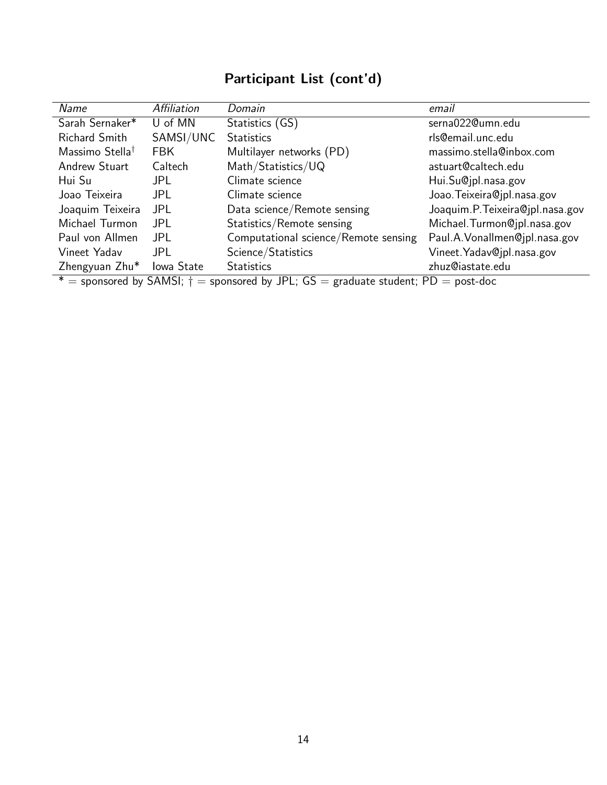# Participant List (cont'd)

| Name                                                                                       | Affiliation | Domain                               | email                            |  |
|--------------------------------------------------------------------------------------------|-------------|--------------------------------------|----------------------------------|--|
| Sarah Sernaker*                                                                            | U of MN     | Statistics (GS)                      | serna022@umn.edu                 |  |
| <b>Richard Smith</b>                                                                       | SAMSI/UNC   | <b>Statistics</b>                    | rls@email.unc.edu                |  |
| Massimo Stella <sup>†</sup>                                                                | <b>FBK</b>  | Multilayer networks (PD)             | massimo.stella@inbox.com         |  |
| <b>Andrew Stuart</b>                                                                       | Caltech     | Math/Statistics/UQ                   | astuart@caltech.edu              |  |
| Hui Su                                                                                     | JPL.        | Climate science                      | Hui.Su@jpl.nasa.gov              |  |
| Joao Teixeira                                                                              | <b>JPL</b>  | Climate science                      | Joao. Teixeira@jpl.nasa.gov      |  |
| Joaquim Teixeira                                                                           | JPL         | Data science/Remote sensing          | Joaquim.P. Teixeira@jpl.nasa.gov |  |
| Michael Turmon                                                                             | JPL.        | Statistics/Remote sensing            | Michael. Turmon@jpl.nasa.gov     |  |
| Paul von Allmen                                                                            | <b>JPL</b>  | Computational science/Remote sensing | Paul.A. Vonallmen@jpl.nasa.gov   |  |
| Vineet Yadav                                                                               | <b>JPL</b>  | Science/Statistics                   | Vineet. Yadav@jpl.nasa.gov       |  |
| Zhengyuan Zhu*                                                                             | Iowa State  | <b>Statistics</b>                    | zhuz@iastate.edu                 |  |
| * = sponsored by SAMSI; $\dagger$ = sponsored by JPL; GS = graduate student; PD = post-doc |             |                                      |                                  |  |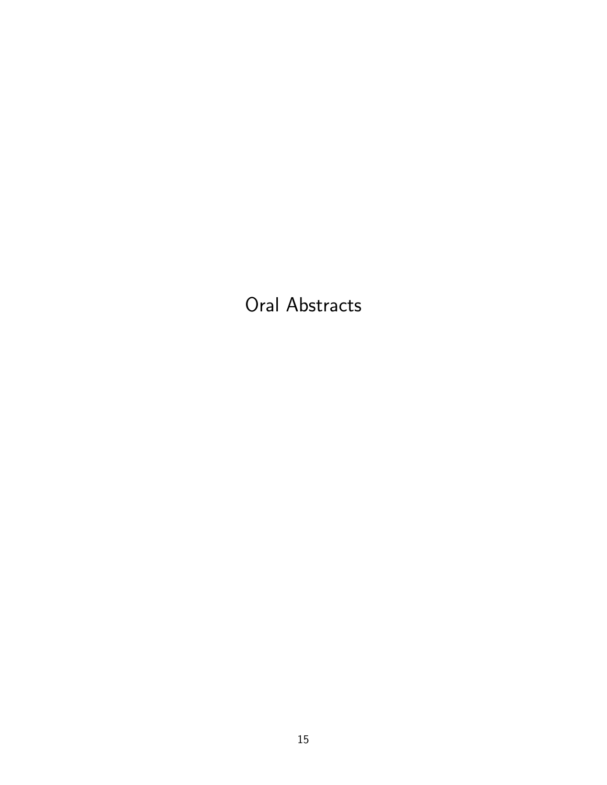Oral Abstracts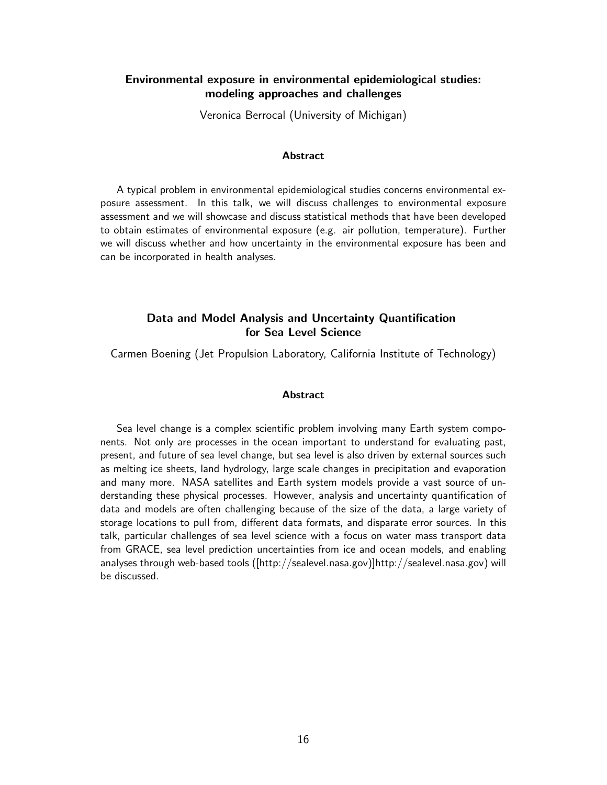# Environmental exposure in environmental epidemiological studies: modeling approaches and challenges

Veronica Berrocal (University of Michigan)

#### Abstract

A typical problem in environmental epidemiological studies concerns environmental exposure assessment. In this talk, we will discuss challenges to environmental exposure assessment and we will showcase and discuss statistical methods that have been developed to obtain estimates of environmental exposure (e.g. air pollution, temperature). Further we will discuss whether and how uncertainty in the environmental exposure has been and can be incorporated in health analyses.

# Data and Model Analysis and Uncertainty Quantification for Sea Level Science

Carmen Boening (Jet Propulsion Laboratory, California Institute of Technology)

#### **Abstract**

Sea level change is a complex scientific problem involving many Earth system components. Not only are processes in the ocean important to understand for evaluating past, present, and future of sea level change, but sea level is also driven by external sources such as melting ice sheets, land hydrology, large scale changes in precipitation and evaporation and many more. NASA satellites and Earth system models provide a vast source of understanding these physical processes. However, analysis and uncertainty quantification of data and models are often challenging because of the size of the data, a large variety of storage locations to pull from, different data formats, and disparate error sources. In this talk, particular challenges of sea level science with a focus on water mass transport data from GRACE, sea level prediction uncertainties from ice and ocean models, and enabling analyses through web-based tools ([http://sealevel.nasa.gov)]http://sealevel.nasa.gov) will be discussed.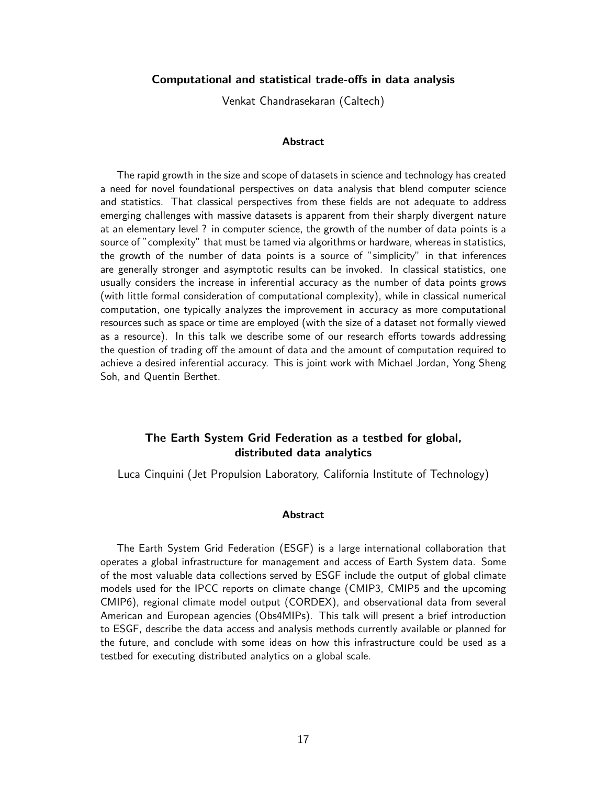#### Computational and statistical trade-offs in data analysis

Venkat Chandrasekaran (Caltech)

#### **Abstract**

The rapid growth in the size and scope of datasets in science and technology has created a need for novel foundational perspectives on data analysis that blend computer science and statistics. That classical perspectives from these fields are not adequate to address emerging challenges with massive datasets is apparent from their sharply divergent nature at an elementary level ? in computer science, the growth of the number of data points is a source of "complexity" that must be tamed via algorithms or hardware, whereas in statistics, the growth of the number of data points is a source of "simplicity" in that inferences are generally stronger and asymptotic results can be invoked. In classical statistics, one usually considers the increase in inferential accuracy as the number of data points grows (with little formal consideration of computational complexity), while in classical numerical computation, one typically analyzes the improvement in accuracy as more computational resources such as space or time are employed (with the size of a dataset not formally viewed as a resource). In this talk we describe some of our research efforts towards addressing the question of trading off the amount of data and the amount of computation required to achieve a desired inferential accuracy. This is joint work with Michael Jordan, Yong Sheng Soh, and Quentin Berthet.

# The Earth System Grid Federation as a testbed for global, distributed data analytics

Luca Cinquini (Jet Propulsion Laboratory, California Institute of Technology)

#### **Abstract**

The Earth System Grid Federation (ESGF) is a large international collaboration that operates a global infrastructure for management and access of Earth System data. Some of the most valuable data collections served by ESGF include the output of global climate models used for the IPCC reports on climate change (CMIP3, CMIP5 and the upcoming CMIP6), regional climate model output (CORDEX), and observational data from several American and European agencies (Obs4MIPs). This talk will present a brief introduction to ESGF, describe the data access and analysis methods currently available or planned for the future, and conclude with some ideas on how this infrastructure could be used as a testbed for executing distributed analytics on a global scale.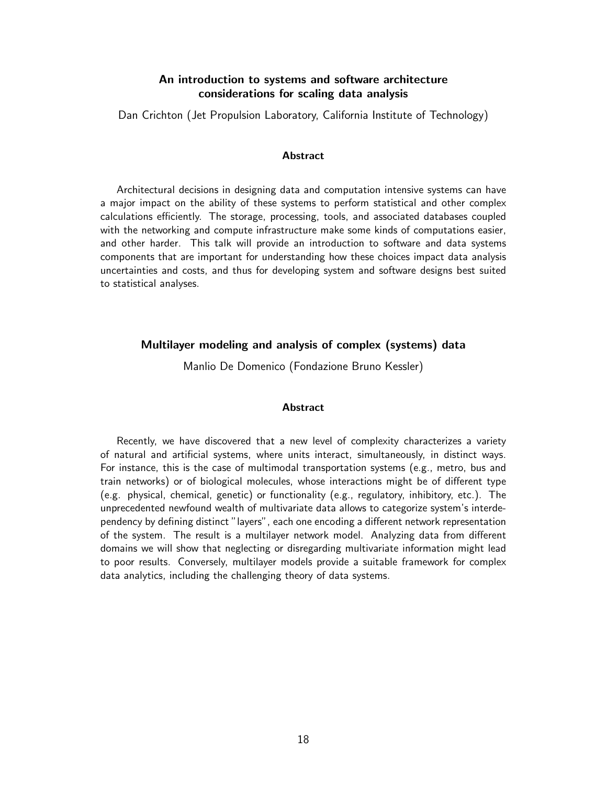# An introduction to systems and software architecture considerations for scaling data analysis

Dan Crichton (Jet Propulsion Laboratory, California Institute of Technology)

#### Abstract

Architectural decisions in designing data and computation intensive systems can have a major impact on the ability of these systems to perform statistical and other complex calculations efficiently. The storage, processing, tools, and associated databases coupled with the networking and compute infrastructure make some kinds of computations easier, and other harder. This talk will provide an introduction to software and data systems components that are important for understanding how these choices impact data analysis uncertainties and costs, and thus for developing system and software designs best suited to statistical analyses.

#### Multilayer modeling and analysis of complex (systems) data

Manlio De Domenico (Fondazione Bruno Kessler)

#### **Abstract**

Recently, we have discovered that a new level of complexity characterizes a variety of natural and artificial systems, where units interact, simultaneously, in distinct ways. For instance, this is the case of multimodal transportation systems (e.g., metro, bus and train networks) or of biological molecules, whose interactions might be of different type (e.g. physical, chemical, genetic) or functionality (e.g., regulatory, inhibitory, etc.). The unprecedented newfound wealth of multivariate data allows to categorize system's interdependency by defining distinct "layers", each one encoding a different network representation of the system. The result is a multilayer network model. Analyzing data from different domains we will show that neglecting or disregarding multivariate information might lead to poor results. Conversely, multilayer models provide a suitable framework for complex data analytics, including the challenging theory of data systems.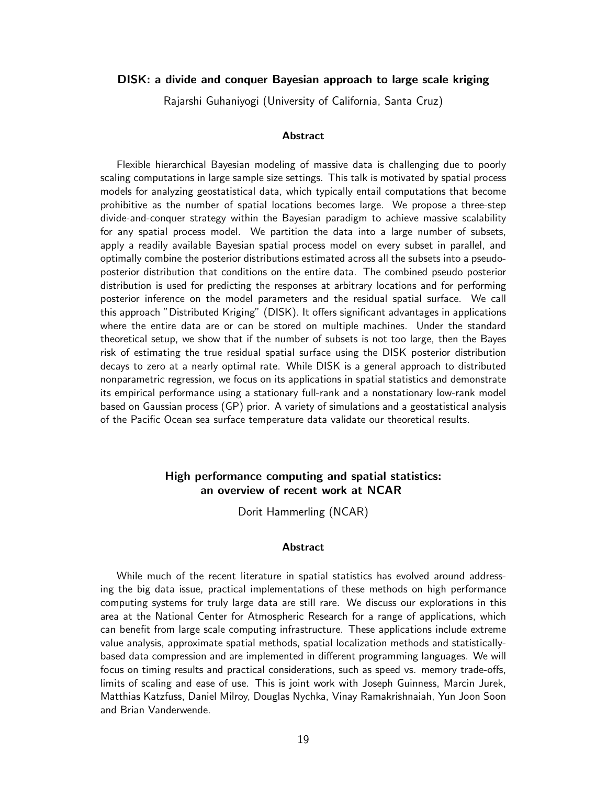#### DISK: a divide and conquer Bayesian approach to large scale kriging

Rajarshi Guhaniyogi (University of California, Santa Cruz)

#### Abstract

Flexible hierarchical Bayesian modeling of massive data is challenging due to poorly scaling computations in large sample size settings. This talk is motivated by spatial process models for analyzing geostatistical data, which typically entail computations that become prohibitive as the number of spatial locations becomes large. We propose a three-step divide-and-conquer strategy within the Bayesian paradigm to achieve massive scalability for any spatial process model. We partition the data into a large number of subsets, apply a readily available Bayesian spatial process model on every subset in parallel, and optimally combine the posterior distributions estimated across all the subsets into a pseudoposterior distribution that conditions on the entire data. The combined pseudo posterior distribution is used for predicting the responses at arbitrary locations and for performing posterior inference on the model parameters and the residual spatial surface. We call this approach "Distributed Kriging" (DISK). It offers significant advantages in applications where the entire data are or can be stored on multiple machines. Under the standard theoretical setup, we show that if the number of subsets is not too large, then the Bayes risk of estimating the true residual spatial surface using the DISK posterior distribution decays to zero at a nearly optimal rate. While DISK is a general approach to distributed nonparametric regression, we focus on its applications in spatial statistics and demonstrate its empirical performance using a stationary full-rank and a nonstationary low-rank model based on Gaussian process (GP) prior. A variety of simulations and a geostatistical analysis of the Pacific Ocean sea surface temperature data validate our theoretical results.

# High performance computing and spatial statistics: an overview of recent work at NCAR

Dorit Hammerling (NCAR)

#### **Abstract**

While much of the recent literature in spatial statistics has evolved around addressing the big data issue, practical implementations of these methods on high performance computing systems for truly large data are still rare. We discuss our explorations in this area at the National Center for Atmospheric Research for a range of applications, which can benefit from large scale computing infrastructure. These applications include extreme value analysis, approximate spatial methods, spatial localization methods and statisticallybased data compression and are implemented in different programming languages. We will focus on timing results and practical considerations, such as speed vs. memory trade-offs, limits of scaling and ease of use. This is joint work with Joseph Guinness, Marcin Jurek, Matthias Katzfuss, Daniel Milroy, Douglas Nychka, Vinay Ramakrishnaiah, Yun Joon Soon and Brian Vanderwende.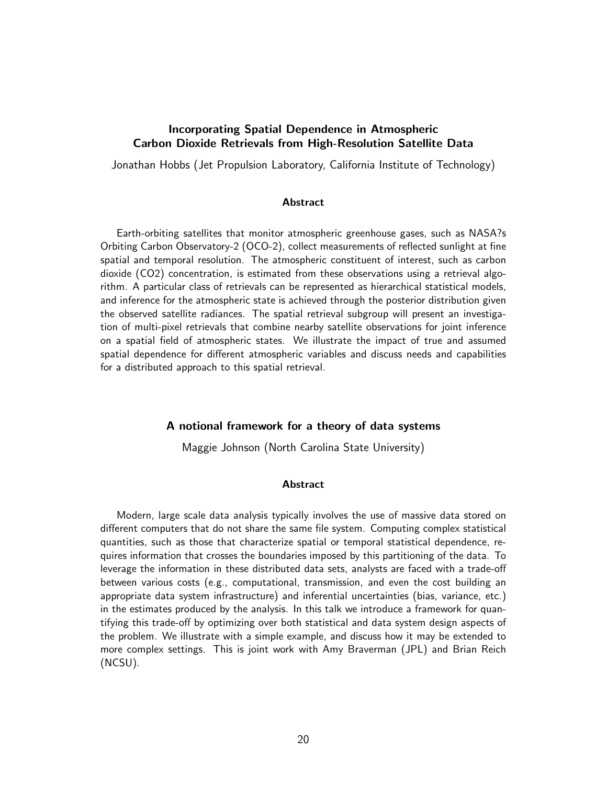## Incorporating Spatial Dependence in Atmospheric Carbon Dioxide Retrievals from High-Resolution Satellite Data

Jonathan Hobbs (Jet Propulsion Laboratory, California Institute of Technology)

#### **Abstract**

Earth-orbiting satellites that monitor atmospheric greenhouse gases, such as NASA?s Orbiting Carbon Observatory-2 (OCO-2), collect measurements of reflected sunlight at fine spatial and temporal resolution. The atmospheric constituent of interest, such as carbon dioxide (CO2) concentration, is estimated from these observations using a retrieval algorithm. A particular class of retrievals can be represented as hierarchical statistical models, and inference for the atmospheric state is achieved through the posterior distribution given the observed satellite radiances. The spatial retrieval subgroup will present an investigation of multi-pixel retrievals that combine nearby satellite observations for joint inference on a spatial field of atmospheric states. We illustrate the impact of true and assumed spatial dependence for different atmospheric variables and discuss needs and capabilities for a distributed approach to this spatial retrieval.

#### A notional framework for a theory of data systems

Maggie Johnson (North Carolina State University)

#### Abstract

Modern, large scale data analysis typically involves the use of massive data stored on different computers that do not share the same file system. Computing complex statistical quantities, such as those that characterize spatial or temporal statistical dependence, requires information that crosses the boundaries imposed by this partitioning of the data. To leverage the information in these distributed data sets, analysts are faced with a trade-off between various costs (e.g., computational, transmission, and even the cost building an appropriate data system infrastructure) and inferential uncertainties (bias, variance, etc.) in the estimates produced by the analysis. In this talk we introduce a framework for quantifying this trade-off by optimizing over both statistical and data system design aspects of the problem. We illustrate with a simple example, and discuss how it may be extended to more complex settings. This is joint work with Amy Braverman (JPL) and Brian Reich (NCSU).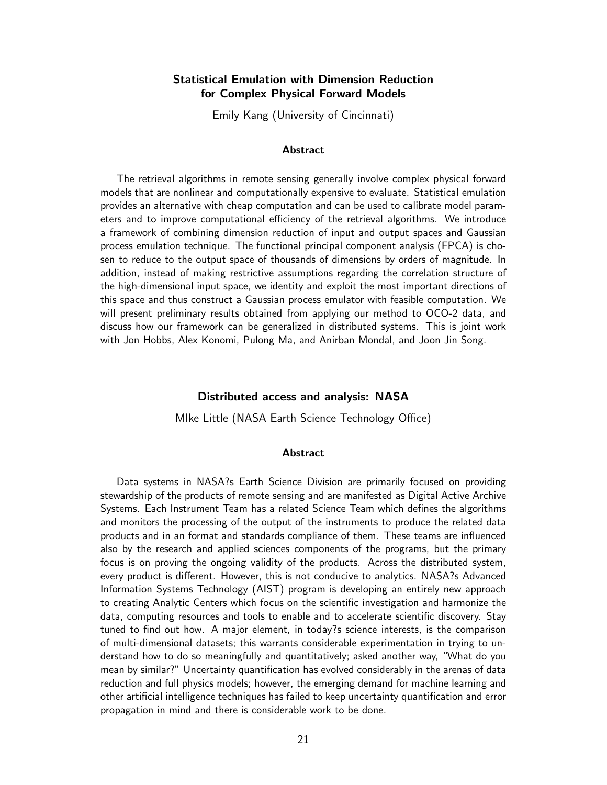## Statistical Emulation with Dimension Reduction for Complex Physical Forward Models

Emily Kang (University of Cincinnati)

#### **Abstract**

The retrieval algorithms in remote sensing generally involve complex physical forward models that are nonlinear and computationally expensive to evaluate. Statistical emulation provides an alternative with cheap computation and can be used to calibrate model parameters and to improve computational efficiency of the retrieval algorithms. We introduce a framework of combining dimension reduction of input and output spaces and Gaussian process emulation technique. The functional principal component analysis (FPCA) is chosen to reduce to the output space of thousands of dimensions by orders of magnitude. In addition, instead of making restrictive assumptions regarding the correlation structure of the high-dimensional input space, we identity and exploit the most important directions of this space and thus construct a Gaussian process emulator with feasible computation. We will present preliminary results obtained from applying our method to OCO-2 data, and discuss how our framework can be generalized in distributed systems. This is joint work with Jon Hobbs, Alex Konomi, Pulong Ma, and Anirban Mondal, and Joon Jin Song.

#### Distributed access and analysis: NASA

MIke Little (NASA Earth Science Technology Office)

#### Abstract

Data systems in NASA?s Earth Science Division are primarily focused on providing stewardship of the products of remote sensing and are manifested as Digital Active Archive Systems. Each Instrument Team has a related Science Team which defines the algorithms and monitors the processing of the output of the instruments to produce the related data products and in an format and standards compliance of them. These teams are influenced also by the research and applied sciences components of the programs, but the primary focus is on proving the ongoing validity of the products. Across the distributed system, every product is different. However, this is not conducive to analytics. NASA?s Advanced Information Systems Technology (AIST) program is developing an entirely new approach to creating Analytic Centers which focus on the scientific investigation and harmonize the data, computing resources and tools to enable and to accelerate scientific discovery. Stay tuned to find out how. A major element, in today?s science interests, is the comparison of multi-dimensional datasets; this warrants considerable experimentation in trying to understand how to do so meaningfully and quantitatively; asked another way, "What do you mean by similar?" Uncertainty quantification has evolved considerably in the arenas of data reduction and full physics models; however, the emerging demand for machine learning and other artificial intelligence techniques has failed to keep uncertainty quantification and error propagation in mind and there is considerable work to be done.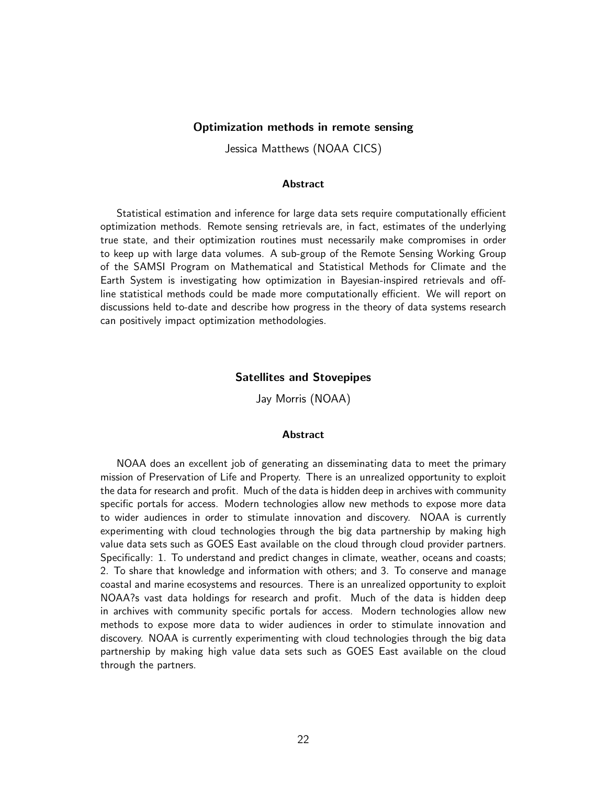#### Optimization methods in remote sensing

Jessica Matthews (NOAA CICS)

#### Abstract

Statistical estimation and inference for large data sets require computationally efficient optimization methods. Remote sensing retrievals are, in fact, estimates of the underlying true state, and their optimization routines must necessarily make compromises in order to keep up with large data volumes. A sub-group of the Remote Sensing Working Group of the SAMSI Program on Mathematical and Statistical Methods for Climate and the Earth System is investigating how optimization in Bayesian-inspired retrievals and offline statistical methods could be made more computationally efficient. We will report on discussions held to-date and describe how progress in the theory of data systems research can positively impact optimization methodologies.

#### Satellites and Stovepipes

Jay Morris (NOAA)

#### **Abstract**

NOAA does an excellent job of generating an disseminating data to meet the primary mission of Preservation of Life and Property. There is an unrealized opportunity to exploit the data for research and profit. Much of the data is hidden deep in archives with community specific portals for access. Modern technologies allow new methods to expose more data to wider audiences in order to stimulate innovation and discovery. NOAA is currently experimenting with cloud technologies through the big data partnership by making high value data sets such as GOES East available on the cloud through cloud provider partners. Specifically: 1. To understand and predict changes in climate, weather, oceans and coasts; 2. To share that knowledge and information with others; and 3. To conserve and manage coastal and marine ecosystems and resources. There is an unrealized opportunity to exploit NOAA?s vast data holdings for research and profit. Much of the data is hidden deep in archives with community specific portals for access. Modern technologies allow new methods to expose more data to wider audiences in order to stimulate innovation and discovery. NOAA is currently experimenting with cloud technologies through the big data partnership by making high value data sets such as GOES East available on the cloud through the partners.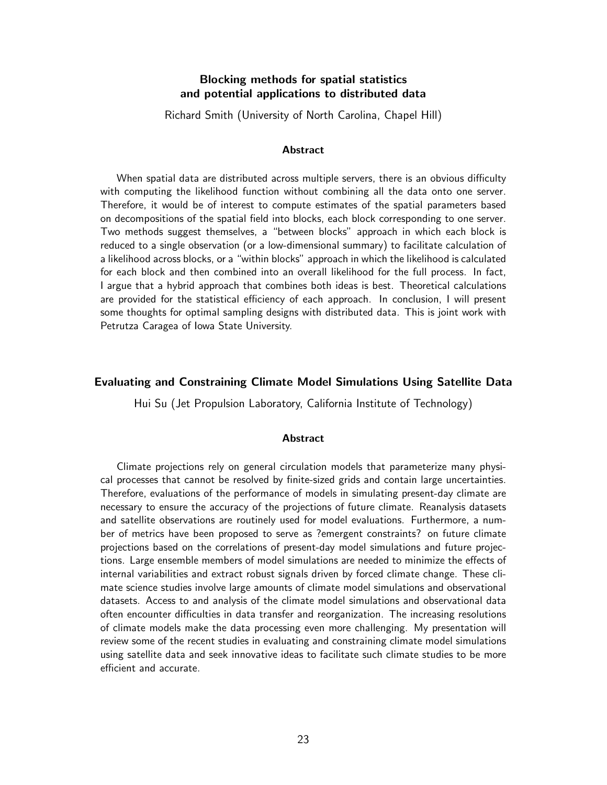# Blocking methods for spatial statistics and potential applications to distributed data

Richard Smith (University of North Carolina, Chapel Hill)

#### **Abstract**

When spatial data are distributed across multiple servers, there is an obvious difficulty with computing the likelihood function without combining all the data onto one server. Therefore, it would be of interest to compute estimates of the spatial parameters based on decompositions of the spatial field into blocks, each block corresponding to one server. Two methods suggest themselves, a "between blocks" approach in which each block is reduced to a single observation (or a low-dimensional summary) to facilitate calculation of a likelihood across blocks, or a "within blocks" approach in which the likelihood is calculated for each block and then combined into an overall likelihood for the full process. In fact, I argue that a hybrid approach that combines both ideas is best. Theoretical calculations are provided for the statistical efficiency of each approach. In conclusion, I will present some thoughts for optimal sampling designs with distributed data. This is joint work with Petrutza Caragea of Iowa State University.

### Evaluating and Constraining Climate Model Simulations Using Satellite Data

Hui Su (Jet Propulsion Laboratory, California Institute of Technology)

#### **Abstract**

Climate projections rely on general circulation models that parameterize many physical processes that cannot be resolved by finite-sized grids and contain large uncertainties. Therefore, evaluations of the performance of models in simulating present-day climate are necessary to ensure the accuracy of the projections of future climate. Reanalysis datasets and satellite observations are routinely used for model evaluations. Furthermore, a number of metrics have been proposed to serve as ?emergent constraints? on future climate projections based on the correlations of present-day model simulations and future projections. Large ensemble members of model simulations are needed to minimize the effects of internal variabilities and extract robust signals driven by forced climate change. These climate science studies involve large amounts of climate model simulations and observational datasets. Access to and analysis of the climate model simulations and observational data often encounter difficulties in data transfer and reorganization. The increasing resolutions of climate models make the data processing even more challenging. My presentation will review some of the recent studies in evaluating and constraining climate model simulations using satellite data and seek innovative ideas to facilitate such climate studies to be more efficient and accurate.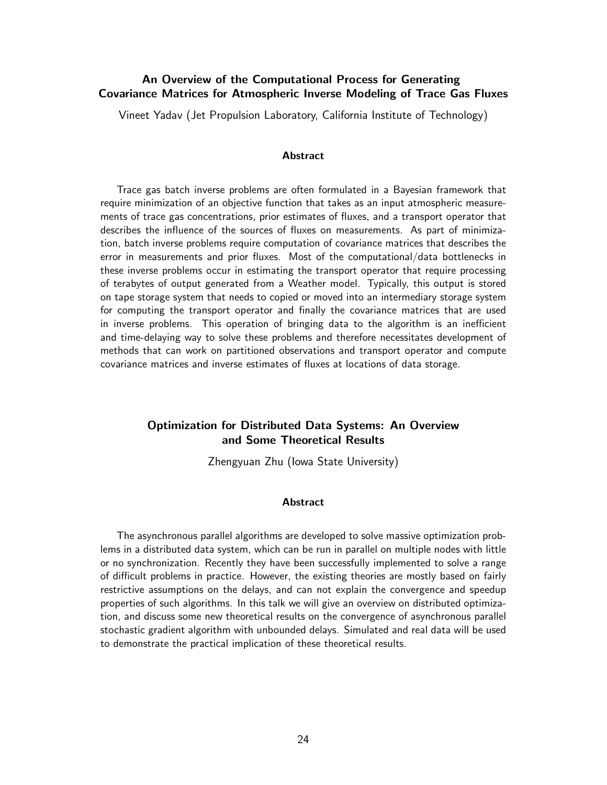# An Overview of the Computational Process for Generating Covariance Matrices for Atmospheric Inverse Modeling of Trace Gas Fluxes

Vineet Yadav (Jet Propulsion Laboratory, California Institute of Technology)

#### Abstract

Trace gas batch inverse problems are often formulated in a Bayesian framework that require minimization of an objective function that takes as an input atmospheric measurements of trace gas concentrations, prior estimates of fluxes, and a transport operator that describes the influence of the sources of fluxes on measurements. As part of minimization, batch inverse problems require computation of covariance matrices that describes the error in measurements and prior fluxes. Most of the computational/data bottlenecks in these inverse problems occur in estimating the transport operator that require processing of terabytes of output generated from a Weather model. Typically, this output is stored on tape storage system that needs to copied or moved into an intermediary storage system for computing the transport operator and finally the covariance matrices that are used in inverse problems. This operation of bringing data to the algorithm is an inefficient and time-delaying way to solve these problems and therefore necessitates development of methods that can work on partitioned observations and transport operator and compute covariance matrices and inverse estimates of fluxes at locations of data storage.

# Optimization for Distributed Data Systems: An Overview and Some Theoretical Results

Zhengyuan Zhu (Iowa State University)

#### Abstract

The asynchronous parallel algorithms are developed to solve massive optimization problems in a distributed data system, which can be run in parallel on multiple nodes with little or no synchronization. Recently they have been successfully implemented to solve a range of difficult problems in practice. However, the existing theories are mostly based on fairly restrictive assumptions on the delays, and can not explain the convergence and speedup properties of such algorithms. In this talk we will give an overview on distributed optimization, and discuss some new theoretical results on the convergence of asynchronous parallel stochastic gradient algorithm with unbounded delays. Simulated and real data will be used to demonstrate the practical implication of these theoretical results.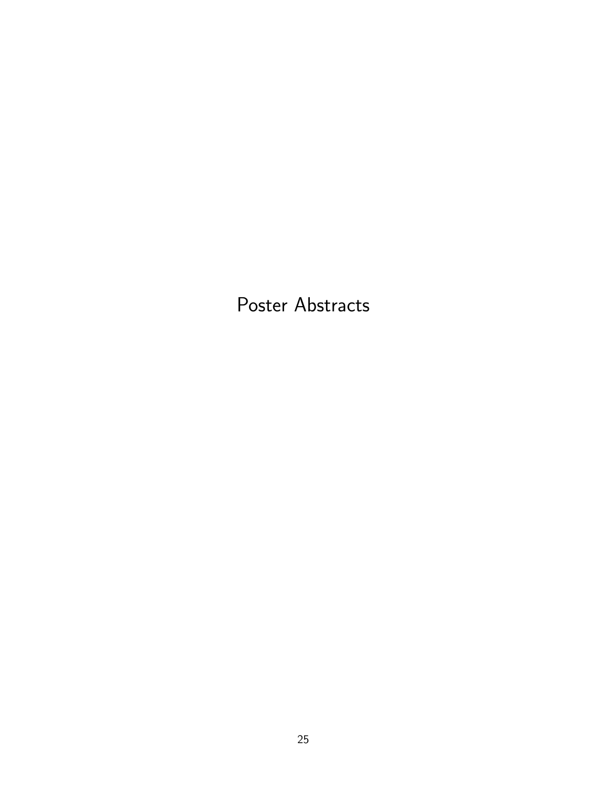Poster Abstracts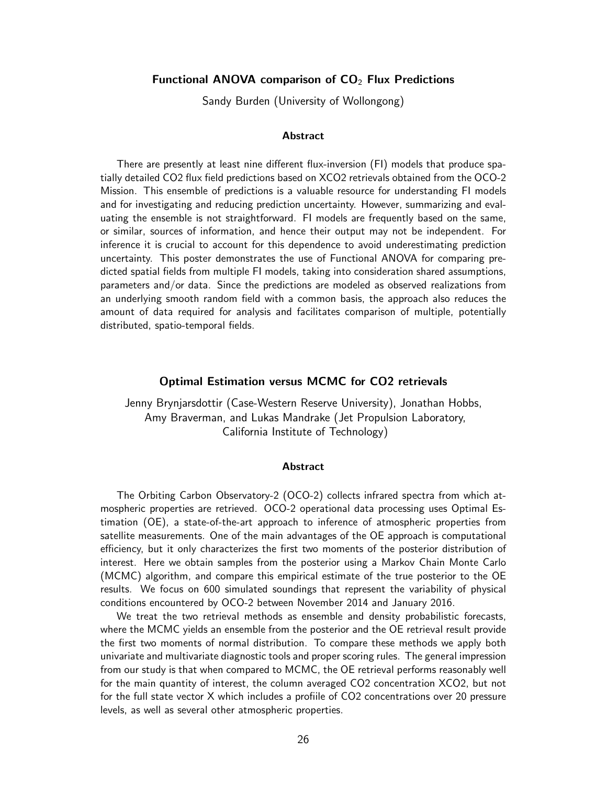### Functional ANOVA comparison of  $CO<sub>2</sub>$  Flux Predictions

Sandy Burden (University of Wollongong)

#### Abstract

There are presently at least nine different flux-inversion (FI) models that produce spatially detailed CO2 flux field predictions based on XCO2 retrievals obtained from the OCO-2 Mission. This ensemble of predictions is a valuable resource for understanding FI models and for investigating and reducing prediction uncertainty. However, summarizing and evaluating the ensemble is not straightforward. FI models are frequently based on the same, or similar, sources of information, and hence their output may not be independent. For inference it is crucial to account for this dependence to avoid underestimating prediction uncertainty. This poster demonstrates the use of Functional ANOVA for comparing predicted spatial fields from multiple FI models, taking into consideration shared assumptions, parameters and/or data. Since the predictions are modeled as observed realizations from an underlying smooth random field with a common basis, the approach also reduces the amount of data required for analysis and facilitates comparison of multiple, potentially distributed, spatio-temporal fields.

### Optimal Estimation versus MCMC for CO2 retrievals

Jenny Brynjarsdottir (Case-Western Reserve University), Jonathan Hobbs, Amy Braverman, and Lukas Mandrake (Jet Propulsion Laboratory, California Institute of Technology)

#### Abstract

The Orbiting Carbon Observatory-2 (OCO-2) collects infrared spectra from which atmospheric properties are retrieved. OCO-2 operational data processing uses Optimal Estimation (OE), a state-of-the-art approach to inference of atmospheric properties from satellite measurements. One of the main advantages of the OE approach is computational efficiency, but it only characterizes the first two moments of the posterior distribution of interest. Here we obtain samples from the posterior using a Markov Chain Monte Carlo (MCMC) algorithm, and compare this empirical estimate of the true posterior to the OE results. We focus on 600 simulated soundings that represent the variability of physical conditions encountered by OCO-2 between November 2014 and January 2016.

We treat the two retrieval methods as ensemble and density probabilistic forecasts, where the MCMC yields an ensemble from the posterior and the OE retrieval result provide the first two moments of normal distribution. To compare these methods we apply both univariate and multivariate diagnostic tools and proper scoring rules. The general impression from our study is that when compared to MCMC, the OE retrieval performs reasonably well for the main quantity of interest, the column averaged CO2 concentration XCO2, but not for the full state vector X which includes a profiile of CO2 concentrations over 20 pressure levels, as well as several other atmospheric properties.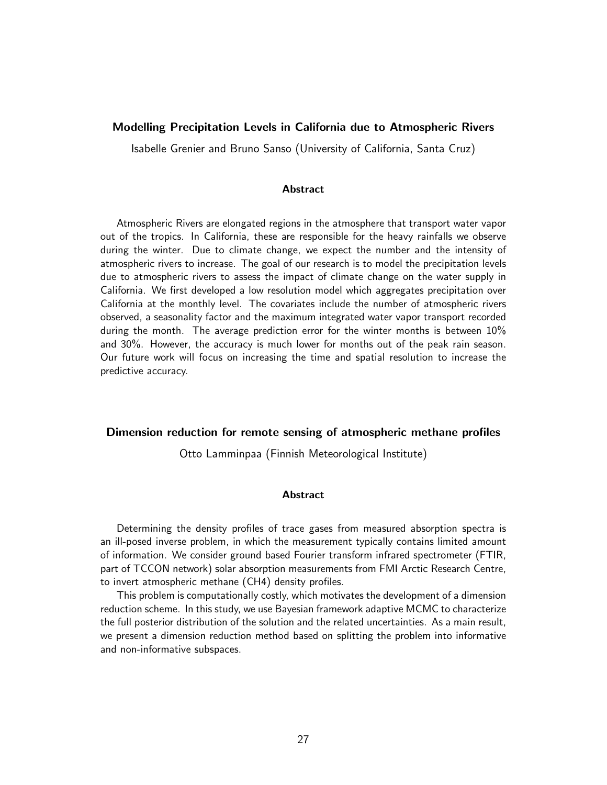### Modelling Precipitation Levels in California due to Atmospheric Rivers

Isabelle Grenier and Bruno Sanso (University of California, Santa Cruz)

#### **Abstract**

Atmospheric Rivers are elongated regions in the atmosphere that transport water vapor out of the tropics. In California, these are responsible for the heavy rainfalls we observe during the winter. Due to climate change, we expect the number and the intensity of atmospheric rivers to increase. The goal of our research is to model the precipitation levels due to atmospheric rivers to assess the impact of climate change on the water supply in California. We first developed a low resolution model which aggregates precipitation over California at the monthly level. The covariates include the number of atmospheric rivers observed, a seasonality factor and the maximum integrated water vapor transport recorded during the month. The average prediction error for the winter months is between 10% and 30%. However, the accuracy is much lower for months out of the peak rain season. Our future work will focus on increasing the time and spatial resolution to increase the predictive accuracy.

### Dimension reduction for remote sensing of atmospheric methane profiles

Otto Lamminpaa (Finnish Meteorological Institute)

#### **Abstract**

Determining the density profiles of trace gases from measured absorption spectra is an ill-posed inverse problem, in which the measurement typically contains limited amount of information. We consider ground based Fourier transform infrared spectrometer (FTIR, part of TCCON network) solar absorption measurements from FMI Arctic Research Centre, to invert atmospheric methane (CH4) density profiles.

This problem is computationally costly, which motivates the development of a dimension reduction scheme. In this study, we use Bayesian framework adaptive MCMC to characterize the full posterior distribution of the solution and the related uncertainties. As a main result, we present a dimension reduction method based on splitting the problem into informative and non-informative subspaces.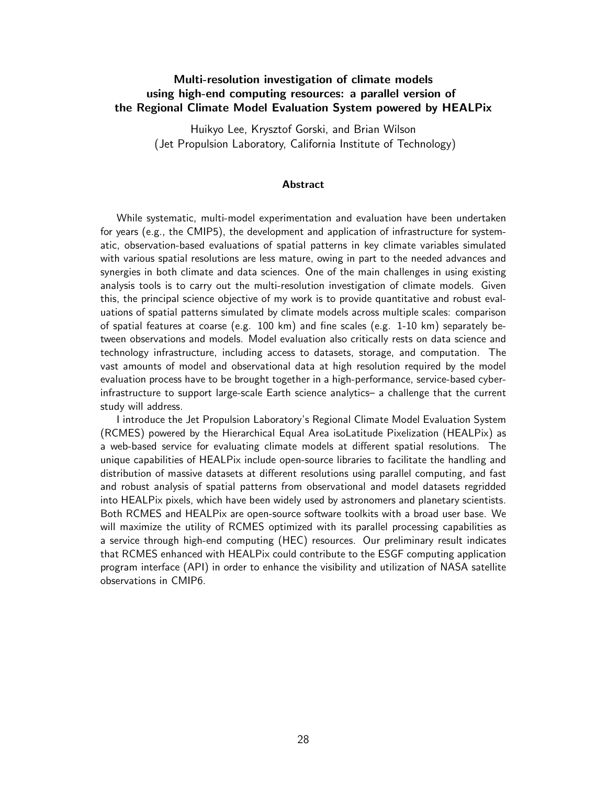# Multi-resolution investigation of climate models using high-end computing resources: a parallel version of the Regional Climate Model Evaluation System powered by HEALPix

Huikyo Lee, Krysztof Gorski, and Brian Wilson (Jet Propulsion Laboratory, California Institute of Technology)

#### Abstract

While systematic, multi-model experimentation and evaluation have been undertaken for years (e.g., the CMIP5), the development and application of infrastructure for systematic, observation-based evaluations of spatial patterns in key climate variables simulated with various spatial resolutions are less mature, owing in part to the needed advances and synergies in both climate and data sciences. One of the main challenges in using existing analysis tools is to carry out the multi-resolution investigation of climate models. Given this, the principal science objective of my work is to provide quantitative and robust evaluations of spatial patterns simulated by climate models across multiple scales: comparison of spatial features at coarse (e.g. 100 km) and fine scales (e.g. 1-10 km) separately between observations and models. Model evaluation also critically rests on data science and technology infrastructure, including access to datasets, storage, and computation. The vast amounts of model and observational data at high resolution required by the model evaluation process have to be brought together in a high-performance, service-based cyberinfrastructure to support large-scale Earth science analytics– a challenge that the current study will address.

I introduce the Jet Propulsion Laboratory's Regional Climate Model Evaluation System (RCMES) powered by the Hierarchical Equal Area isoLatitude Pixelization (HEALPix) as a web-based service for evaluating climate models at different spatial resolutions. The unique capabilities of HEALPix include open-source libraries to facilitate the handling and distribution of massive datasets at different resolutions using parallel computing, and fast and robust analysis of spatial patterns from observational and model datasets regridded into HEALPix pixels, which have been widely used by astronomers and planetary scientists. Both RCMES and HEALPix are open-source software toolkits with a broad user base. We will maximize the utility of RCMES optimized with its parallel processing capabilities as a service through high-end computing (HEC) resources. Our preliminary result indicates that RCMES enhanced with HEALPix could contribute to the ESGF computing application program interface (API) in order to enhance the visibility and utilization of NASA satellite observations in CMIP6.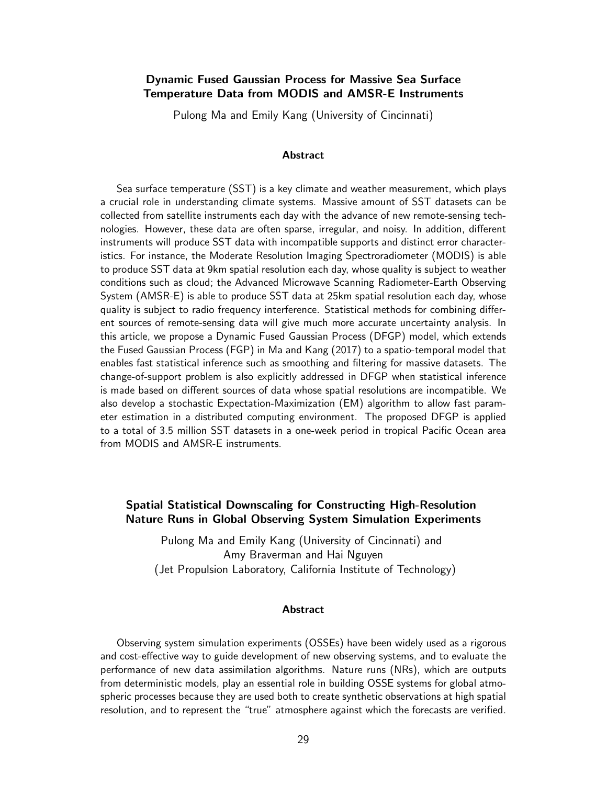## Dynamic Fused Gaussian Process for Massive Sea Surface Temperature Data from MODIS and AMSR-E Instruments

Pulong Ma and Emily Kang (University of Cincinnati)

#### **Abstract**

Sea surface temperature (SST) is a key climate and weather measurement, which plays a crucial role in understanding climate systems. Massive amount of SST datasets can be collected from satellite instruments each day with the advance of new remote-sensing technologies. However, these data are often sparse, irregular, and noisy. In addition, different instruments will produce SST data with incompatible supports and distinct error characteristics. For instance, the Moderate Resolution Imaging Spectroradiometer (MODIS) is able to produce SST data at 9km spatial resolution each day, whose quality is subject to weather conditions such as cloud; the Advanced Microwave Scanning Radiometer-Earth Observing System (AMSR-E) is able to produce SST data at 25km spatial resolution each day, whose quality is subject to radio frequency interference. Statistical methods for combining different sources of remote-sensing data will give much more accurate uncertainty analysis. In this article, we propose a Dynamic Fused Gaussian Process (DFGP) model, which extends the Fused Gaussian Process (FGP) in Ma and Kang (2017) to a spatio-temporal model that enables fast statistical inference such as smoothing and filtering for massive datasets. The change-of-support problem is also explicitly addressed in DFGP when statistical inference is made based on different sources of data whose spatial resolutions are incompatible. We also develop a stochastic Expectation-Maximization (EM) algorithm to allow fast parameter estimation in a distributed computing environment. The proposed DFGP is applied to a total of 3.5 million SST datasets in a one-week period in tropical Pacific Ocean area from MODIS and AMSR-E instruments.

# Spatial Statistical Downscaling for Constructing High-Resolution Nature Runs in Global Observing System Simulation Experiments

Pulong Ma and Emily Kang (University of Cincinnati) and Amy Braverman and Hai Nguyen (Jet Propulsion Laboratory, California Institute of Technology)

#### Abstract

Observing system simulation experiments (OSSEs) have been widely used as a rigorous and cost-effective way to guide development of new observing systems, and to evaluate the performance of new data assimilation algorithms. Nature runs (NRs), which are outputs from deterministic models, play an essential role in building OSSE systems for global atmospheric processes because they are used both to create synthetic observations at high spatial resolution, and to represent the "true" atmosphere against which the forecasts are verified.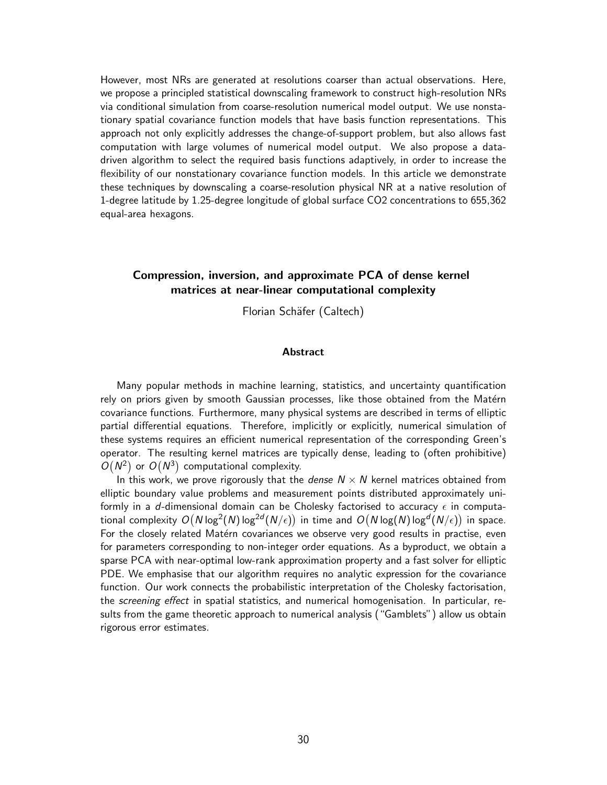However, most NRs are generated at resolutions coarser than actual observations. Here, we propose a principled statistical downscaling framework to construct high-resolution NRs via conditional simulation from coarse-resolution numerical model output. We use nonstationary spatial covariance function models that have basis function representations. This approach not only explicitly addresses the change-of-support problem, but also allows fast computation with large volumes of numerical model output. We also propose a datadriven algorithm to select the required basis functions adaptively, in order to increase the flexibility of our nonstationary covariance function models. In this article we demonstrate these techniques by downscaling a coarse-resolution physical NR at a native resolution of 1-degree latitude by 1.25-degree longitude of global surface CO2 concentrations to 655,362 equal-area hexagons.

## Compression, inversion, and approximate PCA of dense kernel matrices at near-linear computational complexity

Florian Schäfer (Caltech)

#### **Abstract**

Many popular methods in machine learning, statistics, and uncertainty quantification rely on priors given by smooth Gaussian processes, like those obtained from the Matérn covariance functions. Furthermore, many physical systems are described in terms of elliptic partial differential equations. Therefore, implicitly or explicitly, numerical simulation of these systems requires an efficient numerical representation of the corresponding Green's operator. The resulting kernel matrices are typically dense, leading to (often prohibitive)  $O(N^2)$  or  $O(N^3)$  computational complexity.

In this work, we prove rigorously that the *dense*  $N \times N$  kernel matrices obtained from elliptic boundary value problems and measurement points distributed approximately uniformly in a d-dimensional domain can be Cholesky factorised to accuracy  $\epsilon$  in computational complexity  $O(N\log^2(N)\log^{2d}(N/\epsilon))$  in time and  $O(N\log(N)\log^d(N/\epsilon))$  in space. For the closely related Matérn covariances we observe very good results in practise, even for parameters corresponding to non-integer order equations. As a byproduct, we obtain a sparse PCA with near-optimal low-rank approximation property and a fast solver for elliptic PDE. We emphasise that our algorithm requires no analytic expression for the covariance function. Our work connects the probabilistic interpretation of the Cholesky factorisation, the screening effect in spatial statistics, and numerical homogenisation. In particular, results from the game theoretic approach to numerical analysis ("Gamblets") allow us obtain rigorous error estimates.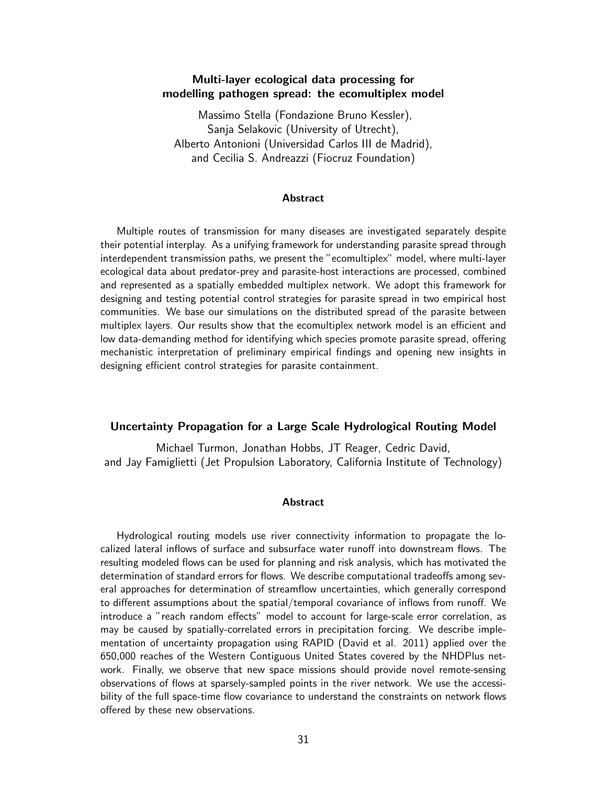# Multi-layer ecological data processing for modelling pathogen spread: the ecomultiplex model

Massimo Stella (Fondazione Bruno Kessler), Sanja Selakovic (University of Utrecht), Alberto Antonioni (Universidad Carlos III de Madrid), and Cecilia S. Andreazzi (Fiocruz Foundation)

#### Abstract

Multiple routes of transmission for many diseases are investigated separately despite their potential interplay. As a unifying framework for understanding parasite spread through interdependent transmission paths, we present the "ecomultiplex" model, where multi-layer ecological data about predator-prey and parasite-host interactions are processed, combined and represented as a spatially embedded multiplex network. We adopt this framework for designing and testing potential control strategies for parasite spread in two empirical host communities. We base our simulations on the distributed spread of the parasite between multiplex layers. Our results show that the ecomultiplex network model is an efficient and low data-demanding method for identifying which species promote parasite spread, offering mechanistic interpretation of preliminary empirical findings and opening new insights in designing efficient control strategies for parasite containment.

### Uncertainty Propagation for a Large Scale Hydrological Routing Model

Michael Turmon, Jonathan Hobbs, JT Reager, Cedric David, and Jay Famiglietti (Jet Propulsion Laboratory, California Institute of Technology)

#### Abstract

Hydrological routing models use river connectivity information to propagate the localized lateral inflows of surface and subsurface water runoff into downstream flows. The resulting modeled flows can be used for planning and risk analysis, which has motivated the determination of standard errors for flows. We describe computational tradeoffs among several approaches for determination of streamflow uncertainties, which generally correspond to different assumptions about the spatial/temporal covariance of inflows from runoff. We introduce a "reach random effects" model to account for large-scale error correlation, as may be caused by spatially-correlated errors in precipitation forcing. We describe implementation of uncertainty propagation using RAPID (David et al. 2011) applied over the 650,000 reaches of the Western Contiguous United States covered by the NHDPlus network. Finally, we observe that new space missions should provide novel remote-sensing observations of flows at sparsely-sampled points in the river network. We use the accessibility of the full space-time flow covariance to understand the constraints on network flows offered by these new observations.